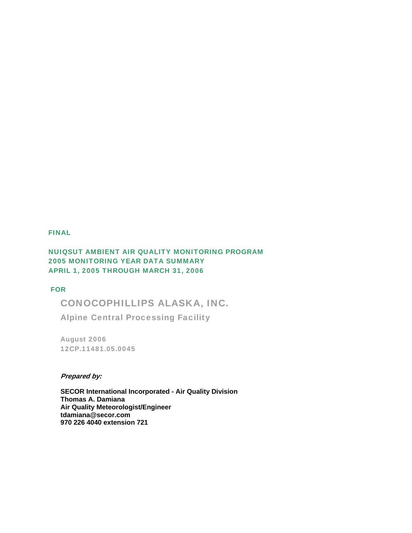#### FINAL

## NUIQSUT AMBIENT AIR QUALITY MONITORING PROGRAM 2005 MONITORING YEAR DATA SUMMARY APRIL 1, 2005 THROUGH MARCH 31, 2006

### FOR

CONOCOPHILLIPS ALASKA, INC.

Alpine Central Processing Facility

August 2006 12CP.11481.05.0045

#### **Prepared by:**

**SECOR International Incorporated - Air Quality Division Thomas A. Damiana Air Quality Meteorologist/Engineer tdamiana@secor.com 970 226 4040 extension 721**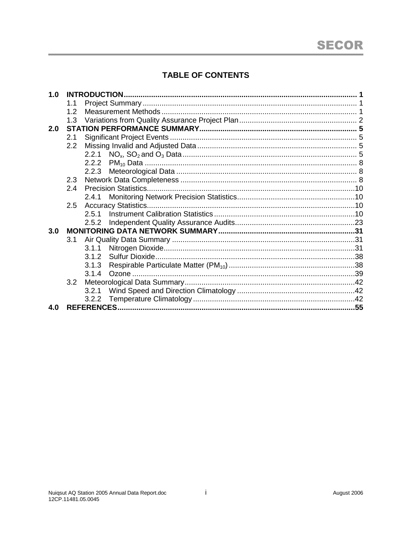# **TABLE OF CONTENTS**

| 1.0 |     |       |  |
|-----|-----|-------|--|
|     | 1.1 |       |  |
|     | 1.2 |       |  |
|     | 1.3 |       |  |
| 2.0 |     |       |  |
|     | 2.1 |       |  |
|     | 2.2 |       |  |
|     |     |       |  |
|     |     | 2.2.2 |  |
|     |     | 2.2.3 |  |
|     | 2.3 |       |  |
|     | 2.4 |       |  |
|     |     | 2.4.1 |  |
|     | 2.5 |       |  |
|     |     | 2.5.1 |  |
|     |     | 2.5.2 |  |
| 3.0 |     |       |  |
|     | 3.1 |       |  |
|     |     | 3.1.1 |  |
|     |     | 3.1.2 |  |
|     |     | 3.1.3 |  |
|     |     | 3.1.4 |  |
|     | 3.2 |       |  |
|     |     | 3.2.1 |  |
|     |     | 3.2.2 |  |
| 4.0 |     |       |  |
|     |     |       |  |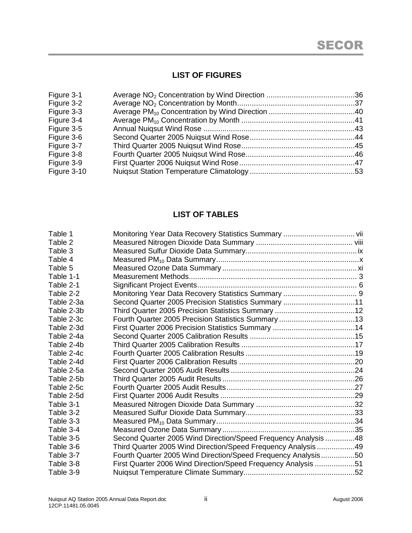# **LIST OF FIGURES**

| Figure 3-1  |  |
|-------------|--|
| Figure 3-2  |  |
| Figure 3-3  |  |
| Figure 3-4  |  |
| Figure 3-5  |  |
| Figure 3-6  |  |
| Figure 3-7  |  |
| Figure 3-8  |  |
| Figure 3-9  |  |
| Figure 3-10 |  |
|             |  |

# **LIST OF TABLES**

| Table 1    |                                                                |  |
|------------|----------------------------------------------------------------|--|
| Table 2    |                                                                |  |
| Table 3    |                                                                |  |
| Table 4    |                                                                |  |
| Table 5    |                                                                |  |
| Table 1-1  |                                                                |  |
| Table 2-1  |                                                                |  |
| Table 2-2  |                                                                |  |
| Table 2-3a | Second Quarter 2005 Precision Statistics Summary 11            |  |
| Table 2-3b |                                                                |  |
| Table 2-3c |                                                                |  |
| Table 2-3d |                                                                |  |
| Table 2-4a |                                                                |  |
| Table 2-4b |                                                                |  |
| Table 2-4c |                                                                |  |
| Table 2-4d |                                                                |  |
| Table 2-5a |                                                                |  |
| Table 2-5b |                                                                |  |
| Table 2-5c |                                                                |  |
| Table 2-5d |                                                                |  |
| Table 3-1  |                                                                |  |
| Table 3-2  |                                                                |  |
| Table 3-3  |                                                                |  |
| Table 3-4  |                                                                |  |
| Table 3-5  | Second Quarter 2005 Wind Direction/Speed Frequency Analysis 48 |  |
| Table 3-6  | Third Quarter 2005 Wind Direction/Speed Frequency Analysis49   |  |
| Table 3-7  | Fourth Quarter 2005 Wind Direction/Speed Frequency Analysis50  |  |
| Table 3-8  | First Quarter 2006 Wind Direction/Speed Frequency Analysis 51  |  |
| Table 3-9  |                                                                |  |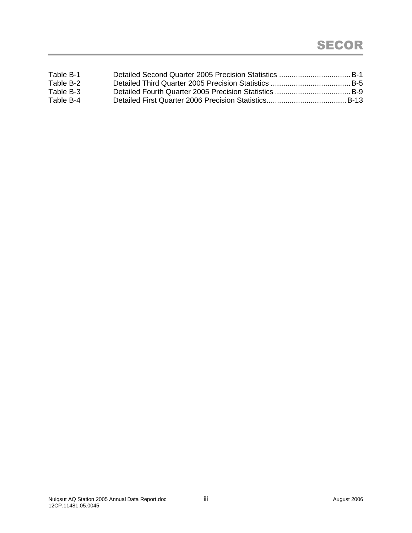| Table B-1 |  |
|-----------|--|
| Table B-2 |  |
| Table B-3 |  |
| Table B-4 |  |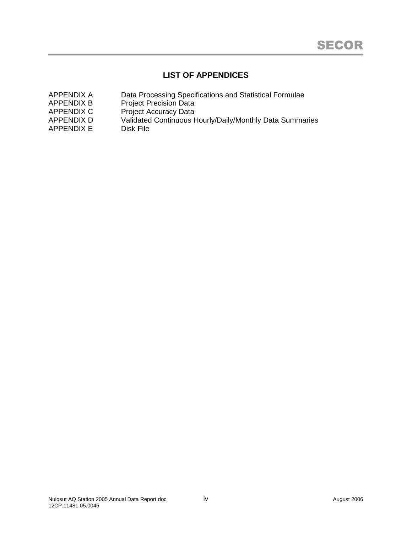# **LIST OF APPENDICES**

| Data Processing Specifications and Statistical Formulae  |
|----------------------------------------------------------|
| <b>Project Precision Data</b>                            |
| <b>Project Accuracy Data</b>                             |
| Validated Continuous Hourly/Daily/Monthly Data Summaries |
| Disk File                                                |
|                                                          |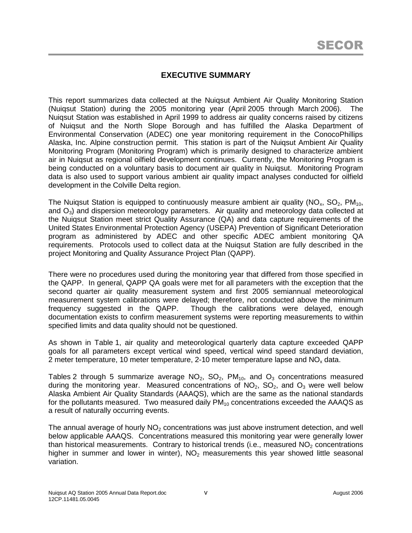# **EXECUTIVE SUMMARY**

This report summarizes data collected at the Nuiqsut Ambient Air Quality Monitoring Station (Nuiqsut Station) during the 2005 monitoring year (April 2005 through March 2006). The Nuiqsut Station was established in April 1999 to address air quality concerns raised by citizens of Nuiqsut and the North Slope Borough and has fulfilled the Alaska Department of Environmental Conservation (ADEC) one year monitoring requirement in the ConocoPhillips Alaska, Inc. Alpine construction permit. This station is part of the Nuiqsut Ambient Air Quality Monitoring Program (Monitoring Program) which is primarily designed to characterize ambient air in Nuiqsut as regional oilfield development continues. Currently, the Monitoring Program is being conducted on a voluntary basis to document air quality in Nuiqsut. Monitoring Program data is also used to support various ambient air quality impact analyses conducted for oilfield development in the Colville Delta region.

The Nuigsut Station is equipped to continuously measure ambient air quality ( $NO<sub>x</sub>$ ,  $SO<sub>2</sub>$ ,  $PM<sub>10</sub>$ , and  $O_3$ ) and dispersion meteorology parameters. Air quality and meteorology data collected at the Nuiqsut Station meet strict Quality Assurance (QA) and data capture requirements of the United States Environmental Protection Agency (USEPA) Prevention of Significant Deterioration program as administered by ADEC and other specific ADEC ambient monitoring QA requirements. Protocols used to collect data at the Nuiqsut Station are fully described in the project Monitoring and Quality Assurance Project Plan (QAPP).

There were no procedures used during the monitoring year that differed from those specified in the QAPP. In general, QAPP QA goals were met for all parameters with the exception that the second quarter air quality measurement system and first 2005 semiannual meteorological measurement system calibrations were delayed; therefore, not conducted above the minimum frequency suggested in the QAPP. Though the calibrations were delayed, enough documentation exists to confirm measurement systems were reporting measurements to within specified limits and data quality should not be questioned.

As shown in Table 1, air quality and meteorological quarterly data capture exceeded QAPP goals for all parameters except vertical wind speed, vertical wind speed standard deviation, 2 meter temperature, 10 meter temperature, 2-10 meter temperature lapse and  $NO<sub>x</sub>$  data.

Tables 2 through 5 summarize average  $NO<sub>2</sub>$ ,  $SO<sub>2</sub>$ ,  $PM<sub>10</sub>$ , and  $O<sub>3</sub>$  concentrations measured during the monitoring year. Measured concentrations of  $NO<sub>2</sub>$ ,  $SO<sub>2</sub>$ , and  $O<sub>3</sub>$  were well below Alaska Ambient Air Quality Standards (AAAQS), which are the same as the national standards for the pollutants measured. Two measured daily  $PM_{10}$  concentrations exceeded the AAAQS as a result of naturally occurring events.

The annual average of hourly  $NO<sub>2</sub>$  concentrations was just above instrument detection, and well below applicable AAAQS. Concentrations measured this monitoring year were generally lower than historical measurements. Contrary to historical trends (i.e., measured  $NO<sub>2</sub>$  concentrations higher in summer and lower in winter),  $NO<sub>2</sub>$  measurements this year showed little seasonal variation.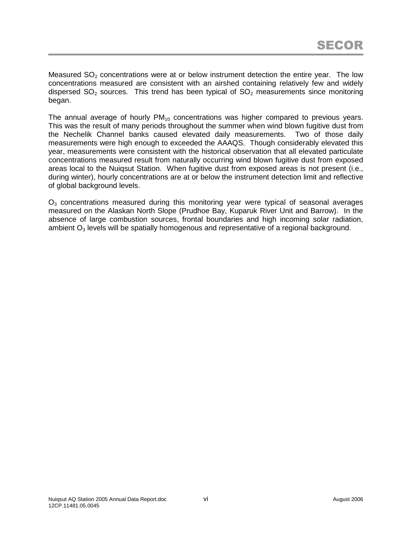Measured  $SO<sub>2</sub>$  concentrations were at or below instrument detection the entire year. The low concentrations measured are consistent with an airshed containing relatively few and widely dispersed  $SO_2$  sources. This trend has been typical of  $SO_2$  measurements since monitoring began.

The annual average of hourly  $PM_{10}$  concentrations was higher compared to previous years. This was the result of many periods throughout the summer when wind blown fugitive dust from the Nechelik Channel banks caused elevated daily measurements. Two of those daily measurements were high enough to exceeded the AAAQS. Though considerably elevated this year, measurements were consistent with the historical observation that all elevated particulate concentrations measured result from naturally occurring wind blown fugitive dust from exposed areas local to the Nuiqsut Station. When fugitive dust from exposed areas is not present (i.e., during winter), hourly concentrations are at or below the instrument detection limit and reflective of global background levels.

 $O<sub>3</sub>$  concentrations measured during this monitoring year were typical of seasonal averages measured on the Alaskan North Slope (Prudhoe Bay, Kuparuk River Unit and Barrow). In the absence of large combustion sources, frontal boundaries and high incoming solar radiation, ambient  $O_3$  levels will be spatially homogenous and representative of a regional background.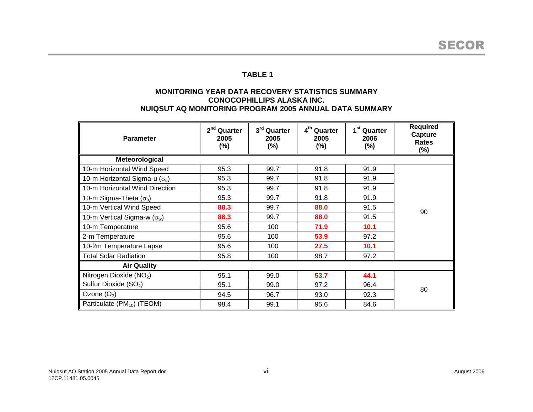### **MONITORING YEAR DATA RECOVERY STATISTICS SUMMARY CONOCOPHILLIPS ALASKA INC. NUIQSUT AQ MONITORING PROGRAM 2005 ANNUAL DATA SUMMARY**

| <b>Parameter</b>                       | 2 <sup>nd</sup> Quarter<br>2005<br>(%) | 3rd Quarter<br>2005<br>$(\%)$ | 4 <sup>th</sup> Quarter<br>2005<br>$(\%)$ | 1 <sup>st</sup> Quarter<br>2006<br>$(\%)$ | <b>Required</b><br>Capture<br>Rates<br>$(\%)$ |  |  |
|----------------------------------------|----------------------------------------|-------------------------------|-------------------------------------------|-------------------------------------------|-----------------------------------------------|--|--|
| Meteorological                         |                                        |                               |                                           |                                           |                                               |  |  |
| 10-m Horizontal Wind Speed             | 95.3                                   | 99.7                          | 91.8                                      | 91.9                                      |                                               |  |  |
| 10-m Horizontal Sigma-u $(\sigma_u)$   | 95.3                                   | 99.7                          | 91.8                                      | 91.9                                      |                                               |  |  |
| 10-m Horizontal Wind Direction         | 95.3                                   | 99.7                          | 91.8                                      | 91.9                                      |                                               |  |  |
| 10-m Sigma-Theta $(\sigma_{\theta})$   | 95.3                                   | 99.7                          | 91.8                                      | 91.9                                      |                                               |  |  |
| 10-m Vertical Wind Speed               | 88.3                                   | 99.7                          | 88.0                                      | 91.5                                      | 90                                            |  |  |
| 10-m Vertical Sigma-w ( $\sigma_w$ )   | 88.3                                   | 99.7                          | 88.0                                      | 91.5                                      |                                               |  |  |
| 10-m Temperature                       | 95.6                                   | 100                           | 71.9                                      | 10.1                                      |                                               |  |  |
| 2-m Temperature                        | 95.6                                   | 100                           | 53.9                                      | 97.2                                      |                                               |  |  |
| 10-2m Temperature Lapse                | 95.6                                   | 100                           | 27.5                                      | 10.1                                      |                                               |  |  |
| <b>Total Solar Radiation</b>           | 95.8                                   | 100                           | 98.7                                      | 97.2                                      |                                               |  |  |
| <b>Air Quality</b>                     |                                        |                               |                                           |                                           |                                               |  |  |
| Nitrogen Dioxide (NO <sub>2</sub> )    | 95.1                                   | 99.0                          | 53.7                                      | 44.1                                      |                                               |  |  |
| Sulfur Dioxide (SO <sub>2</sub> )      | 95.1                                   | 99.0                          | 97.2                                      | 96.4                                      | 80                                            |  |  |
| Ozone $(O_3)$                          | 94.5                                   | 96.7                          | 93.0                                      | 92.3                                      |                                               |  |  |
| Particulate (PM <sub>10</sub> ) (TEOM) | 98.4                                   | 99.1                          | 95.6                                      | 84.6                                      |                                               |  |  |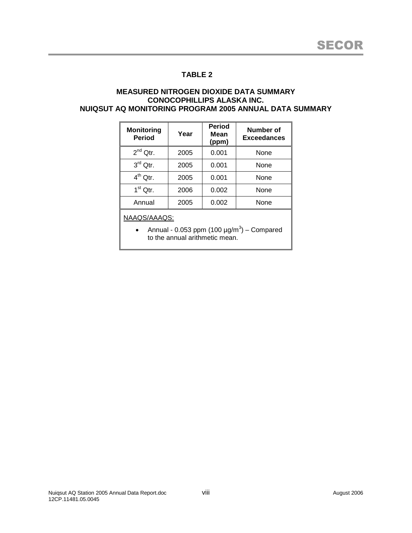#### **MEASURED NITROGEN DIOXIDE DATA SUMMARY CONOCOPHILLIPS ALASKA INC. NUIQSUT AQ MONITORING PROGRAM 2005 ANNUAL DATA SUMMARY**

| <b>Monitoring</b><br><b>Period</b> | Year | <b>Period</b><br>Mean<br>(ppm) | <b>Number of</b><br><b>Exceedances</b> |
|------------------------------------|------|--------------------------------|----------------------------------------|
| $2^{nd}$ Qtr.                      | 2005 | 0.001                          | None                                   |
| $3rd$ Qtr.                         | 2005 | 0.001                          | None                                   |
| $4^{th}$ Qtr.                      | 2005 | 0.001                          | None                                   |
| $1st$ Qtr.                         | 2006 | 0.002                          | None                                   |
| Annual                             | 2005 | 0.002                          | None                                   |

NAAQS/AAAQS:

• Annual - 0.053 ppm (100  $\mu$ g/m<sup>3</sup>) – Compared to the annual arithmetic mean.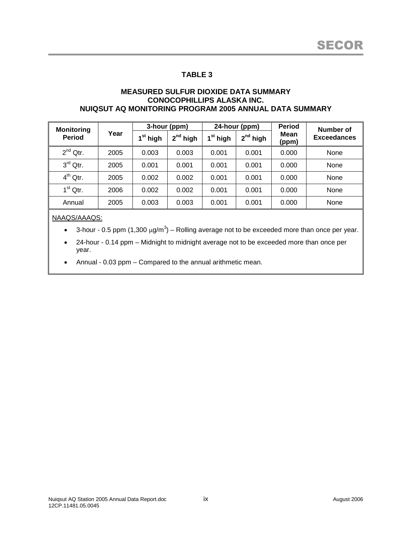#### **MEASURED SULFUR DIOXIDE DATA SUMMARY CONOCOPHILLIPS ALASKA INC. NUIQSUT AQ MONITORING PROGRAM 2005 ANNUAL DATA SUMMARY**

| <b>Monitoring</b> |      | 3-hour (ppm)       |               | 24-hour (ppm)        |               | <b>Period</b> | Number of          |
|-------------------|------|--------------------|---------------|----------------------|---------------|---------------|--------------------|
| <b>Period</b>     | Year | <sup>st</sup> high | $2^{nd}$ high | 1 <sup>st</sup> high | $2^{nd}$ high | Mean<br>(ppm) | <b>Exceedances</b> |
| $2^{nd}$ Qtr.     | 2005 | 0.003              | 0.003         | 0.001                | 0.001         | 0.000         | None               |
| $3rd$ Qtr.        | 2005 | 0.001              | 0.001         | 0.001                | 0.001         | 0.000         | None               |
| $4^{th}$ Qtr.     | 2005 | 0.002              | 0.002         | 0.001                | 0.001         | 0.000         | None               |
| $1st$ Qtr.        | 2006 | 0.002              | 0.002         | 0.001                | 0.001         | 0.000         | None               |
| Annual            | 2005 | 0.003              | 0.003         | 0.001                | 0.001         | 0.000         | None               |

#### NAAQS/AAAQS:

- 3-hour 0.5 ppm (1,300  $\mu$ g/m<sup>3</sup>) Rolling average not to be exceeded more than once per year.
- 24-hour 0.14 ppm Midnight to midnight average not to be exceeded more than once per year.
- Annual 0.03 ppm Compared to the annual arithmetic mean.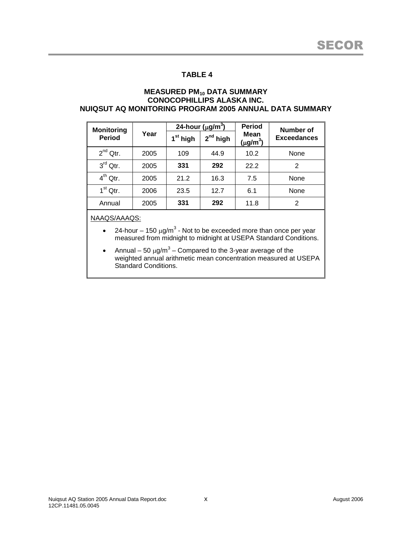#### **MEASURED PM<sup>10</sup> DATA SUMMARY CONOCOPHILLIPS ALASKA INC. NUIQSUT AQ MONITORING PROGRAM 2005 ANNUAL DATA SUMMARY**

| <b>Monitoring</b> |      | 24-hour ( $\mu$ g/m <sup>3</sup> ) |               | <b>Period</b>                     | Number of          |  |
|-------------------|------|------------------------------------|---------------|-----------------------------------|--------------------|--|
| <b>Period</b>     | Year | 1 <sup>st</sup> high               | $2^{nd}$ high | Mean<br>$(\mu$ g/m <sup>3</sup> ) | <b>Exceedances</b> |  |
| $2^{nd}$ Qtr.     | 2005 | 109                                | 44.9          | 10.2                              | None               |  |
| $3rd$ Qtr.        | 2005 | 331                                | 292           | 22.2                              | 2                  |  |
| $4^{th}$ Qtr.     | 2005 | 21.2                               | 16.3          | 7.5                               | None               |  |
| $1st$ Qtr.        | 2006 | 23.5                               | 12.7          | 6.1                               | None               |  |
| Annual            | 2005 | 331                                | 292           | 11.8                              | $\overline{2}$     |  |

NAAQS/AAAQS:

- 24-hour 150  $\mu$ g/m<sup>3</sup> Not to be exceeded more than once per year measured from midnight to midnight at USEPA Standard Conditions.
- Annual 50  $\mu$ g/m<sup>3</sup> Compared to the 3-year average of the weighted annual arithmetic mean concentration measured at USEPA Standard Conditions.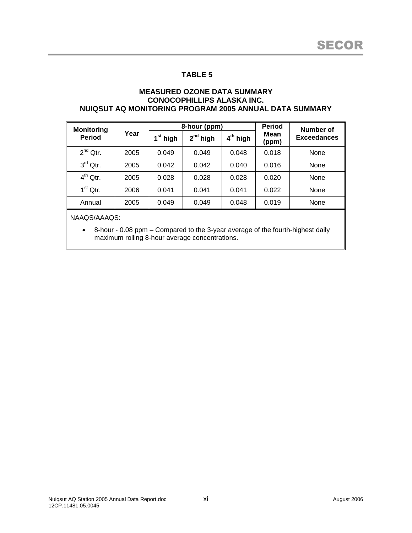#### **MEASURED OZONE DATA SUMMARY CONOCOPHILLIPS ALASKA INC. NUIQSUT AQ MONITORING PROGRAM 2005 ANNUAL DATA SUMMARY**

| <b>Monitoring</b> |      |                      | 8-hour (ppm)  |            | <b>Period</b> | Number of          |  |
|-------------------|------|----------------------|---------------|------------|---------------|--------------------|--|
| <b>Period</b>     | Year | 1 <sup>st</sup> high | $2^{nd}$ high | $4th$ high | Mean<br>(ppm) | <b>Exceedances</b> |  |
| $2^{nd}$ Qtr.     | 2005 | 0.049                | 0.049         | 0.048      | 0.018         | None               |  |
| $3rd$ Qtr.        | 2005 | 0.042                | 0.042         | 0.040      | 0.016         | None               |  |
| $4^{th}$ Qtr.     | 2005 | 0.028                | 0.028         | 0.028      | 0.020         | None               |  |
| $1st$ Qtr.        | 2006 | 0.041                | 0.041         | 0.041      | 0.022         | None               |  |
| Annual            | 2005 | 0.049                | 0.049         | 0.048      | 0.019         | None               |  |

NAAQS/AAAQS:

 8-hour - 0.08 ppm – Compared to the 3-year average of the fourth-highest daily maximum rolling 8-hour average concentrations.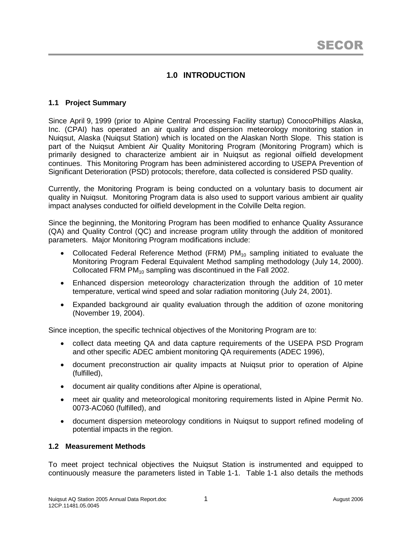# **1.0 INTRODUCTION**

## **1.1 Project Summary**

Since April 9, 1999 (prior to Alpine Central Processing Facility startup) ConocoPhillips Alaska, Inc. (CPAI) has operated an air quality and dispersion meteorology monitoring station in Nuiqsut, Alaska (Nuiqsut Station) which is located on the Alaskan North Slope. This station is part of the Nuiqsut Ambient Air Quality Monitoring Program (Monitoring Program) which is primarily designed to characterize ambient air in Nuiqsut as regional oilfield development continues. This Monitoring Program has been administered according to USEPA Prevention of Significant Deterioration (PSD) protocols; therefore, data collected is considered PSD quality.

Currently, the Monitoring Program is being conducted on a voluntary basis to document air quality in Nuiqsut. Monitoring Program data is also used to support various ambient air quality impact analyses conducted for oilfield development in the Colville Delta region.

Since the beginning, the Monitoring Program has been modified to enhance Quality Assurance (QA) and Quality Control (QC) and increase program utility through the addition of monitored parameters. Major Monitoring Program modifications include:

- Collocated Federal Reference Method (FRM)  $PM_{10}$  sampling initiated to evaluate the Monitoring Program Federal Equivalent Method sampling methodology (July 14, 2000). Collocated FRM PM<sub>10</sub> sampling was discontinued in the Fall 2002.
- Enhanced dispersion meteorology characterization through the addition of 10 meter temperature, vertical wind speed and solar radiation monitoring (July 24, 2001).
- Expanded background air quality evaluation through the addition of ozone monitoring (November 19, 2004).

Since inception, the specific technical objectives of the Monitoring Program are to:

- collect data meeting QA and data capture requirements of the USEPA PSD Program and other specific ADEC ambient monitoring QA requirements (ADEC 1996),
- document preconstruction air quality impacts at Nuiqsut prior to operation of Alpine (fulfilled),
- document air quality conditions after Alpine is operational,
- meet air quality and meteorological monitoring requirements listed in Alpine Permit No. 0073-AC060 (fulfilled), and
- document dispersion meteorology conditions in Nuiqsut to support refined modeling of potential impacts in the region.

## **1.2 Measurement Methods**

To meet project technical objectives the Nuiqsut Station is instrumented and equipped to continuously measure the parameters listed in Table 1-1. Table 1-1 also details the methods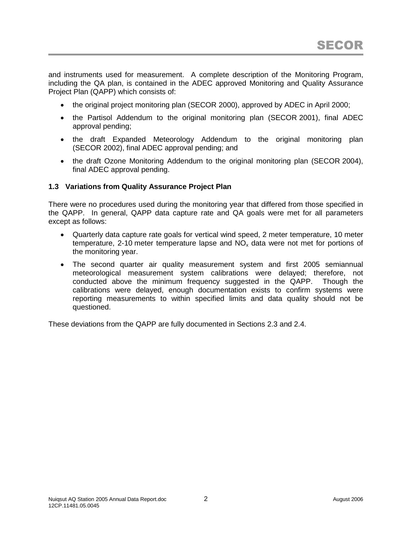and instruments used for measurement. A complete description of the Monitoring Program, including the QA plan, is contained in the ADEC approved Monitoring and Quality Assurance Project Plan (QAPP) which consists of:

- the original project monitoring plan (SECOR 2000), approved by ADEC in April 2000;
- the Partisol Addendum to the original monitoring plan (SECOR 2001), final ADEC approval pending;
- the draft Expanded Meteorology Addendum to the original monitoring plan (SECOR 2002), final ADEC approval pending; and
- the draft Ozone Monitoring Addendum to the original monitoring plan (SECOR 2004), final ADEC approval pending.

## **1.3 Variations from Quality Assurance Project Plan**

There were no procedures used during the monitoring year that differed from those specified in the QAPP. In general, QAPP data capture rate and QA goals were met for all parameters except as follows:

- Quarterly data capture rate goals for vertical wind speed, 2 meter temperature, 10 meter temperature, 2-10 meter temperature lapse and  $NO<sub>x</sub>$  data were not met for portions of the monitoring year.
- The second quarter air quality measurement system and first 2005 semiannual meteorological measurement system calibrations were delayed; therefore, not conducted above the minimum frequency suggested in the QAPP. Though the calibrations were delayed, enough documentation exists to confirm systems were reporting measurements to within specified limits and data quality should not be questioned.

These deviations from the QAPP are fully documented in Sections 2.3 and 2.4.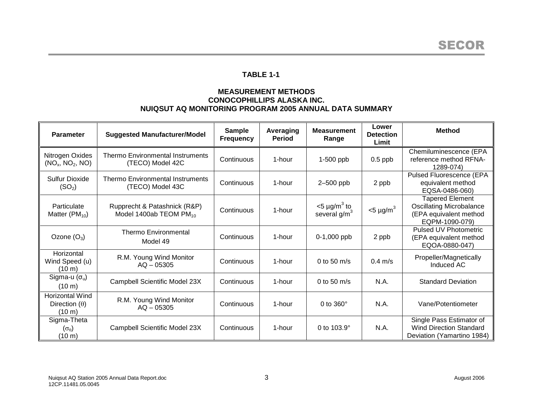## **TABLE 1-1**

## **MEASUREMENT METHODS CONOCOPHILLIPS ALASKA INC. NUIQSUT AQ MONITORING PROGRAM 2005 ANNUAL DATA SUMMARY**

| <b>Parameter</b>                                                   | <b>Suggested Manufacturer/Model</b>                         | <b>Sample</b><br><b>Frequency</b> | Averaging<br><b>Period</b> | <b>Measurement</b><br>Range                  | Lower<br><b>Detection</b><br>Limit | <b>Method</b>                                                                                         |
|--------------------------------------------------------------------|-------------------------------------------------------------|-----------------------------------|----------------------------|----------------------------------------------|------------------------------------|-------------------------------------------------------------------------------------------------------|
| Nitrogen Oxides<br>(NO <sub>x</sub> , NO <sub>2</sub> , NO)        | <b>Thermo Environmental Instruments</b><br>(TECO) Model 42C | Continuous                        | 1-hour                     | 1-500 ppb                                    | $0.5$ ppb                          | Chemiluminescence (EPA<br>reference method RFNA-<br>1289-074)                                         |
| Sulfur Dioxide<br>(SO <sub>2</sub> )                               | <b>Thermo Environmental Instruments</b><br>(TECO) Model 43C | Continuous                        | 1-hour                     | 2-500 ppb                                    | 2 ppb                              | Pulsed Fluorescence (EPA<br>equivalent method<br>EQSA-0486-060)                                       |
| Particulate<br>Matter $(PM_{10})$                                  | Rupprecht & Patashnick (R&P)<br>Model 1400ab TEOM $PM_{10}$ | Continuous                        | 1-hour                     | $<$ 5 µg/m <sup>3</sup> to<br>several $g/m3$ | $<$ 5 µg/m <sup>3</sup>            | <b>Tapered Element</b><br><b>Oscillating Microbalance</b><br>(EPA equivalent method<br>EQPM-1090-079) |
| Ozone $(O_3)$                                                      | <b>Thermo Environmental</b><br>Model 49                     | Continuous                        | 1-hour                     | $0-1,000$ ppb                                | 2 ppb                              | <b>Pulsed UV Photometric</b><br>(EPA equivalent method<br>EQOA-0880-047)                              |
| Horizontal<br>Wind Speed (u)<br>(10 m)                             | R.M. Young Wind Monitor<br>$AO - 05305$                     | Continuous                        | 1-hour                     | 0 to 50 $m/s$                                | $0.4$ m/s                          | Propeller/Magnetically<br>Induced AC                                                                  |
| Sigma-u $(\sigma_u)$<br>$(10 \text{ m})$                           | Campbell Scientific Model 23X                               | Continuous                        | 1-hour                     | 0 to 50 $m/s$                                | N.A.                               | <b>Standard Deviation</b>                                                                             |
| <b>Horizontal Wind</b><br>Direction $(\theta)$<br>$(10 \text{ m})$ | R.M. Young Wind Monitor<br>$AO - 05305$                     | Continuous                        | 1-hour                     | 0 to $360^\circ$                             | N.A.                               | Vane/Potentiometer                                                                                    |
| Sigma-Theta<br>$(\sigma_{\theta})$<br>$(10 \, \text{m})$           | Campbell Scientific Model 23X                               | Continuous                        | 1-hour                     | 0 to 103.9°                                  | N.A.                               | Single Pass Estimator of<br><b>Wind Direction Standard</b><br>Deviation (Yamartino 1984)              |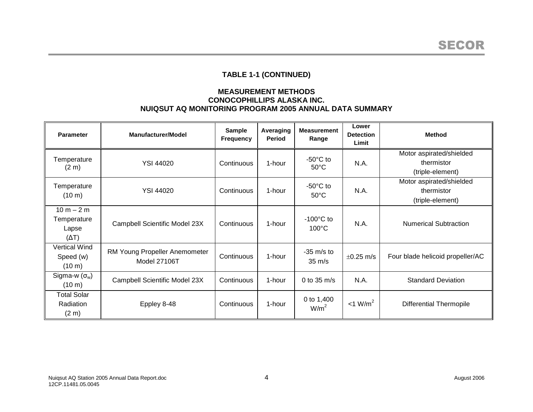# **TABLE 1-1 (CONTINUED)**

### **MEASUREMENT METHODS CONOCOPHILLIPS ALASKA INC. NUIQSUT AQ MONITORING PROGRAM 2005 ANNUAL DATA SUMMARY**

| <b>Parameter</b>                                      | <b>Manufacturer/Model</b>                     | <b>Sample</b><br><b>Frequency</b> | Averaging<br><b>Period</b> | <b>Measurement</b><br>Range            | Lower<br><b>Detection</b><br>Limit | <b>Method</b>                                              |
|-------------------------------------------------------|-----------------------------------------------|-----------------------------------|----------------------------|----------------------------------------|------------------------------------|------------------------------------------------------------|
| Temperature<br>(2 <sub>m</sub> )                      | <b>YSI 44020</b>                              | Continuous                        | 1-hour                     | $-50^{\circ}$ C to<br>$50^{\circ}$ C   | N.A.                               | Motor aspirated/shielded<br>thermistor<br>(triple-element) |
| Temperature<br>(10 m)                                 | <b>YSI 44020</b>                              | Continuous                        | 1-hour                     | $-50^{\circ}$ C to<br>$50^{\circ}$ C   | N.A.                               | Motor aspirated/shielded<br>thermistor<br>(triple-element) |
| $10 m - 2 m$<br>Temperature<br>Lapse<br>$(\Delta T)$  | Campbell Scientific Model 23X                 | Continuous                        | 1-hour                     | $-100^{\circ}$ C to<br>$100^{\circ}$ C | N.A.                               | <b>Numerical Subtraction</b>                               |
| <b>Vertical Wind</b><br>Speed (w)<br>$(10 \text{ m})$ | RM Young Propeller Anemometer<br>Model 27106T | Continuous                        | 1-hour                     | $-35$ m/s to<br>$35 \text{ m/s}$       | $\pm 0.25$ m/s                     | Four blade helicoid propeller/AC                           |
| Sigma-w $(\sigma_w)$<br>(10 m)                        | Campbell Scientific Model 23X                 | Continuous                        | 1-hour                     | 0 to $35 \text{ m/s}$                  | N.A.                               | <b>Standard Deviation</b>                                  |
| <b>Total Solar</b><br>Radiation<br>(2 <sub>m</sub> )  | Eppley 8-48                                   | Continuous                        | 1-hour                     | 0 to 1,400<br>W/m <sup>2</sup>         | $<$ 1 W/m <sup>2</sup>             | <b>Differential Thermopile</b>                             |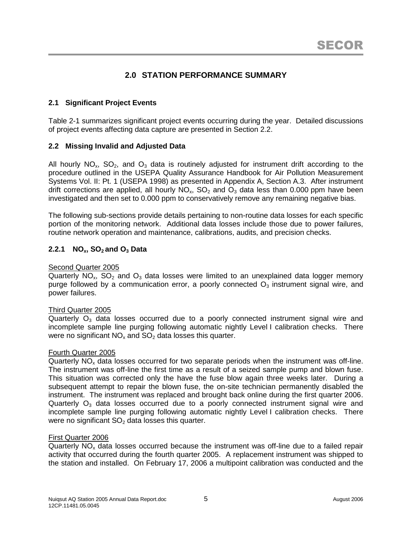# **2.0 STATION PERFORMANCE SUMMARY**

## **2.1 Significant Project Events**

Table 2-1 summarizes significant project events occurring during the year. Detailed discussions of project events affecting data capture are presented in Section 2.2.

## **2.2 Missing Invalid and Adjusted Data**

All hourly  $NO_x$ ,  $SO_2$ , and  $O_3$  data is routinely adjusted for instrument drift according to the procedure outlined in the USEPA Quality Assurance Handbook for Air Pollution Measurement Systems Vol. II: Pt. 1 (USEPA 1998) as presented in Appendix A, Section A.3. After instrument drift corrections are applied, all hourly  $NO<sub>x</sub>$ ,  $SO<sub>2</sub>$  and  $O<sub>3</sub>$  data less than 0.000 ppm have been investigated and then set to 0.000 ppm to conservatively remove any remaining negative bias.

The following sub-sections provide details pertaining to non-routine data losses for each specific portion of the monitoring network. Additional data losses include those due to power failures, routine network operation and maintenance, calibrations, audits, and precision checks.

## **2.2.1 NOx, SO<sup>2</sup> and O<sup>3</sup> Data**

#### Second Quarter 2005

Quarterly  $NO_x$ ,  $SO_2$  and  $O_3$  data losses were limited to an unexplained data logger memory purge followed by a communication error, a poorly connected  $O<sub>3</sub>$  instrument signal wire, and power failures.

#### Third Quarter 2005

Quarterly  $O_3$  data losses occurred due to a poorly connected instrument signal wire and incomplete sample line purging following automatic nightly Level I calibration checks. There were no significant  $NO<sub>x</sub>$  and  $SO<sub>2</sub>$  data losses this quarter.

#### Fourth Quarter 2005

Quarterly  $NO<sub>x</sub>$  data losses occurred for two separate periods when the instrument was off-line. The instrument was off-line the first time as a result of a seized sample pump and blown fuse. This situation was corrected only the have the fuse blow again three weeks later. During a subsequent attempt to repair the blown fuse, the on-site technician permanently disabled the instrument. The instrument was replaced and brought back online during the first quarter 2006. Quarterly  $O_3$  data losses occurred due to a poorly connected instrument signal wire and incomplete sample line purging following automatic nightly Level I calibration checks. There were no significant  $SO<sub>2</sub>$  data losses this quarter.

#### First Quarter 2006

Quarterly  $NO<sub>x</sub>$  data losses occurred because the instrument was off-line due to a failed repair activity that occurred during the fourth quarter 2005. A replacement instrument was shipped to the station and installed. On February 17, 2006 a multipoint calibration was conducted and the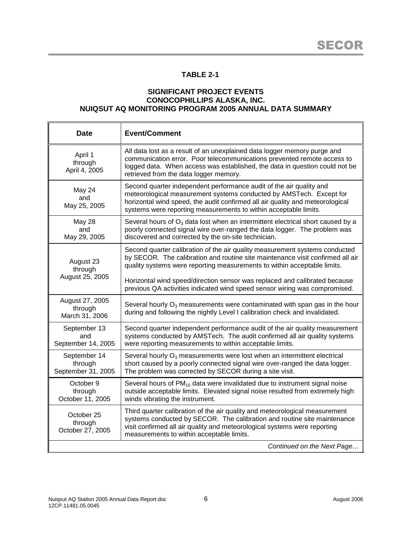# **TABLE 2-1**

### **SIGNIFICANT PROJECT EVENTS CONOCOPHILLIPS ALASKA, INC. NUIQSUT AQ MONITORING PROGRAM 2005 ANNUAL DATA SUMMARY**

| <b>Date</b>                                   | <b>Event/Comment</b>                                                                                                                                                                                                                                                                            |
|-----------------------------------------------|-------------------------------------------------------------------------------------------------------------------------------------------------------------------------------------------------------------------------------------------------------------------------------------------------|
| April 1<br>through<br>April 4, 2005           | All data lost as a result of an unexplained data logger memory purge and<br>communication error. Poor telecommunications prevented remote access to<br>logged data. When access was established, the data in question could not be<br>retrieved from the data logger memory.                    |
| May 24<br>and<br>May 25, 2005                 | Second quarter independent performance audit of the air quality and<br>meteorological measurement systems conducted by AMSTech. Except for<br>horizontal wind speed, the audit confirmed all air quality and meteorological<br>systems were reporting measurements to within acceptable limits. |
| May 28<br>and<br>May 29, 2005                 | Several hours of $O_3$ data lost when an intermittent electrical short caused by a<br>poorly connected signal wire over-ranged the data logger. The problem was<br>discovered and corrected by the on-site technician.                                                                          |
| August 23<br>through                          | Second quarter calibration of the air quality measurement systems conducted<br>by SECOR. The calibration and routine site maintenance visit confirmed all air<br>quality systems were reporting measurements to within acceptable limits.                                                       |
| August 25, 2005                               | Horizontal wind speed/direction sensor was replaced and calibrated because<br>previous QA activities indicated wind speed sensor wiring was compromised.                                                                                                                                        |
| August 27, 2005<br>through<br>March 31, 2006  | Several hourly $O_3$ measurements were contaminated with span gas in the hour<br>during and following the nightly Level I calibration check and invalidated.                                                                                                                                    |
| September 13<br>and<br>September 14, 2005     | Second quarter independent performance audit of the air quality measurement<br>systems conducted by AMSTech. The audit confirmed all air quality systems<br>were reporting measurements to within acceptable limits.                                                                            |
| September 14<br>through<br>September 31, 2005 | Several hourly $O_3$ measurements were lost when an intermittent electrical<br>short caused by a poorly connected signal wire over-ranged the data logger.<br>The problem was corrected by SECOR during a site visit.                                                                           |
| October 9<br>through<br>October 11, 2005      | Several hours of $PM_{10}$ data were invalidated due to instrument signal noise<br>outside acceptable limits. Elevated signal noise resulted from extremely high<br>winds vibrating the instrument.                                                                                             |
| October 25<br>through<br>October 27, 2005     | Third quarter calibration of the air quality and meteorological measurement<br>systems conducted by SECOR. The calibration and routine site maintenance<br>visit confirmed all air quality and meteorological systems were reporting<br>measurements to within acceptable limits.               |
|                                               | Continued on the Next Page                                                                                                                                                                                                                                                                      |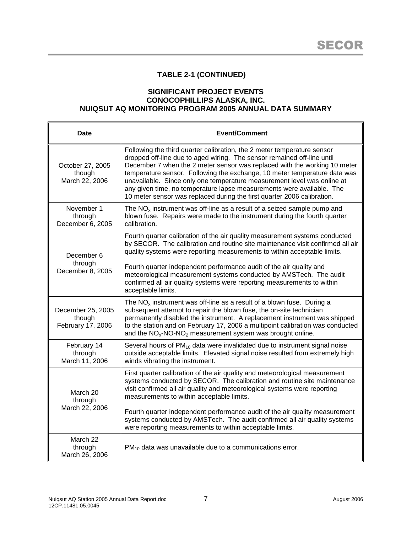# **TABLE 2-1 (CONTINUED)**

### **SIGNIFICANT PROJECT EVENTS CONOCOPHILLIPS ALASKA, INC. NUIQSUT AQ MONITORING PROGRAM 2005 ANNUAL DATA SUMMARY**

| <b>Date</b>                                      | <b>Event/Comment</b>                                                                                                                                                                                                                                                                                                                                                                                                                                                                                                                        |  |  |  |
|--------------------------------------------------|---------------------------------------------------------------------------------------------------------------------------------------------------------------------------------------------------------------------------------------------------------------------------------------------------------------------------------------------------------------------------------------------------------------------------------------------------------------------------------------------------------------------------------------------|--|--|--|
| October 27, 2005<br>though<br>March 22, 2006     | Following the third quarter calibration, the 2 meter temperature sensor<br>dropped off-line due to aged wiring. The sensor remained off-line until<br>December 7 when the 2 meter sensor was replaced with the working 10 meter<br>temperature sensor. Following the exchange, 10 meter temperature data was<br>unavailable. Since only one temperature measurement level was online at<br>any given time, no temperature lapse measurements were available. The<br>10 meter sensor was replaced during the first quarter 2006 calibration. |  |  |  |
| November 1<br>through<br>December 6, 2005        | The $NOx$ instrument was off-line as a result of a seized sample pump and<br>blown fuse. Repairs were made to the instrument during the fourth quarter<br>calibration.                                                                                                                                                                                                                                                                                                                                                                      |  |  |  |
| December 6                                       | Fourth quarter calibration of the air quality measurement systems conducted<br>by SECOR. The calibration and routine site maintenance visit confirmed all air<br>quality systems were reporting measurements to within acceptable limits.                                                                                                                                                                                                                                                                                                   |  |  |  |
| through<br>December 8, 2005                      | Fourth quarter independent performance audit of the air quality and<br>meteorological measurement systems conducted by AMSTech. The audit<br>confirmed all air quality systems were reporting measurements to within<br>acceptable limits.                                                                                                                                                                                                                                                                                                  |  |  |  |
| December 25, 2005<br>though<br>February 17, 2006 | The $NOx$ instrument was off-line as a result of a blown fuse. During a<br>subsequent attempt to repair the blown fuse, the on-site technician<br>permanently disabled the instrument. A replacement instrument was shipped<br>to the station and on February 17, 2006 a multipoint calibration was conducted<br>and the $NOx-NO-NO2$ measurement system was brought online.                                                                                                                                                                |  |  |  |
| February 14<br>through<br>March 11, 2006         | Several hours of PM <sub>10</sub> data were invalidated due to instrument signal noise<br>outside acceptable limits. Elevated signal noise resulted from extremely high<br>winds vibrating the instrument.                                                                                                                                                                                                                                                                                                                                  |  |  |  |
| March 20<br>through<br>March 22, 2006            | First quarter calibration of the air quality and meteorological measurement<br>systems conducted by SECOR. The calibration and routine site maintenance<br>visit confirmed all air quality and meteorological systems were reporting<br>measurements to within acceptable limits.<br>Fourth quarter independent performance audit of the air quality measurement<br>systems conducted by AMSTech. The audit confirmed all air quality systems<br>were reporting measurements to within acceptable limits.                                   |  |  |  |
| March 22<br>through<br>March 26, 2006            | $PM_{10}$ data was unavailable due to a communications error.                                                                                                                                                                                                                                                                                                                                                                                                                                                                               |  |  |  |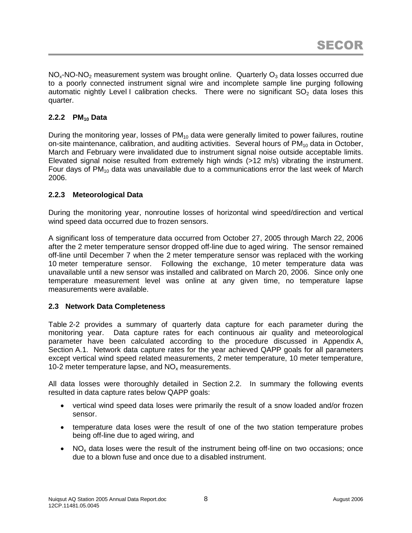$NO<sub>x</sub>-NO-NO<sub>2</sub>$  measurement system was brought online. Quarterly  $O<sub>3</sub>$  data losses occurred due to a poorly connected instrument signal wire and incomplete sample line purging following automatic nightly Level I calibration checks. There were no significant  $SO<sub>2</sub>$  data loses this quarter.

## **2.2.2 PM<sup>10</sup> Data**

During the monitoring year, losses of  $PM_{10}$  data were generally limited to power failures, routine on-site maintenance, calibration, and auditing activities. Several hours of  $PM_{10}$  data in October, March and February were invalidated due to instrument signal noise outside acceptable limits. Elevated signal noise resulted from extremely high winds (>12 m/s) vibrating the instrument. Four days of  $PM_{10}$  data was unavailable due to a communications error the last week of March 2006.

## **2.2.3 Meteorological Data**

During the monitoring year, nonroutine losses of horizontal wind speed/direction and vertical wind speed data occurred due to frozen sensors.

A significant loss of temperature data occurred from October 27, 2005 through March 22, 2006 after the 2 meter temperature sensor dropped off-line due to aged wiring. The sensor remained off-line until December 7 when the 2 meter temperature sensor was replaced with the working 10 meter temperature sensor. Following the exchange, 10 meter temperature data was unavailable until a new sensor was installed and calibrated on March 20, 2006. Since only one temperature measurement level was online at any given time, no temperature lapse measurements were available.

## **2.3 Network Data Completeness**

Table 2-2 provides a summary of quarterly data capture for each parameter during the monitoring year. Data capture rates for each continuous air quality and meteorological parameter have been calculated according to the procedure discussed in Appendix A, Section A.1. Network data capture rates for the year achieved QAPP goals for all parameters except vertical wind speed related measurements, 2 meter temperature, 10 meter temperature, 10-2 meter temperature lapse, and  $NO<sub>x</sub>$  measurements.

All data losses were thoroughly detailed in Section 2.2. In summary the following events resulted in data capture rates below QAPP goals:

- vertical wind speed data loses were primarily the result of a snow loaded and/or frozen sensor.
- temperature data loses were the result of one of the two station temperature probes being off-line due to aged wiring, and
- $\bullet$  NO<sub>x</sub> data loses were the result of the instrument being off-line on two occasions; once due to a blown fuse and once due to a disabled instrument.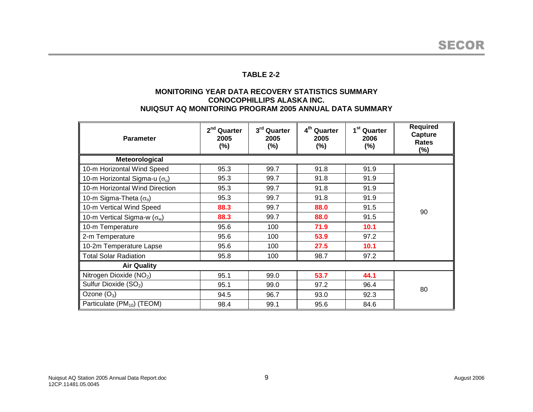## **TABLE 2-2**

#### **MONITORING YEAR DATA RECOVERY STATISTICS SUMMARY CONOCOPHILLIPS ALASKA INC. NUIQSUT AQ MONITORING PROGRAM 2005 ANNUAL DATA SUMMARY**

| <b>Parameter</b>                       | 2 <sup>nd</sup> Quarter<br>2005<br>(%) | 3rd Quarter<br>2005<br>$(\%)$ | 4 <sup>th</sup> Quarter<br>2005<br>$(\%)$ | 1 <sup>st</sup> Quarter<br>2006<br>$(\%)$ | <b>Required</b><br>Capture<br>Rates<br>$(\%)$ |  |  |  |
|----------------------------------------|----------------------------------------|-------------------------------|-------------------------------------------|-------------------------------------------|-----------------------------------------------|--|--|--|
| Meteorological                         |                                        |                               |                                           |                                           |                                               |  |  |  |
| 10-m Horizontal Wind Speed             | 95.3                                   | 99.7                          | 91.8                                      | 91.9                                      |                                               |  |  |  |
| 10-m Horizontal Sigma-u $(\sigma_u)$   | 95.3                                   | 99.7                          | 91.8                                      | 91.9                                      |                                               |  |  |  |
| 10-m Horizontal Wind Direction         | 95.3                                   | 99.7                          | 91.8                                      | 91.9                                      |                                               |  |  |  |
| 10-m Sigma-Theta $(\sigma_{\theta})$   | 95.3                                   | 99.7                          | 91.8                                      | 91.9                                      |                                               |  |  |  |
| 10-m Vertical Wind Speed               | 88.3                                   | 99.7                          | 88.0                                      | 91.5                                      | 90                                            |  |  |  |
| 10-m Vertical Sigma-w ( $\sigma_w$ )   | 88.3                                   | 99.7                          | 88.0                                      | 91.5                                      |                                               |  |  |  |
| 10-m Temperature                       | 95.6                                   | 100                           | 71.9                                      | 10.1                                      |                                               |  |  |  |
| 2-m Temperature                        | 95.6                                   | 100                           | 53.9                                      | 97.2                                      |                                               |  |  |  |
| 10-2m Temperature Lapse                | 95.6                                   | 100                           | 27.5                                      | 10.1                                      |                                               |  |  |  |
| <b>Total Solar Radiation</b>           | 95.8                                   | 100                           | 98.7                                      | 97.2                                      |                                               |  |  |  |
| <b>Air Quality</b>                     |                                        |                               |                                           |                                           |                                               |  |  |  |
| Nitrogen Dioxide (NO <sub>2</sub> )    | 95.1                                   | 99.0                          | 53.7                                      | 44.1                                      |                                               |  |  |  |
| Sulfur Dioxide (SO <sub>2</sub> )      | 95.1                                   | 99.0                          | 97.2                                      | 96.4                                      | 80                                            |  |  |  |
| Ozone $(O_3)$                          | 94.5                                   | 96.7                          | 93.0                                      | 92.3                                      |                                               |  |  |  |
| Particulate (PM <sub>10</sub> ) (TEOM) | 98.4                                   | 99.1                          | 95.6                                      | 84.6                                      |                                               |  |  |  |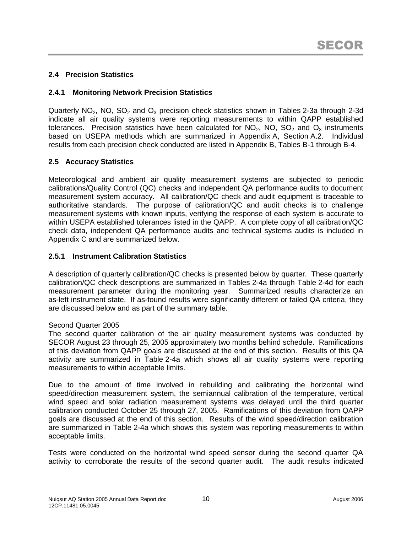## **2.4 Precision Statistics**

## **2.4.1 Monitoring Network Precision Statistics**

Quarterly  $NO<sub>2</sub>$ , NO, SO<sub>2</sub> and O<sub>3</sub> precision check statistics shown in Tables 2-3a through 2-3d indicate all air quality systems were reporting measurements to within QAPP established tolerances. Precision statistics have been calculated for  $NO<sub>2</sub>$ , NO, SO<sub>2</sub> and O<sub>3</sub> instruments based on USEPA methods which are summarized in Appendix A, Section A.2. Individual results from each precision check conducted are listed in Appendix B, Tables B-1 through B-4.

## **2.5 Accuracy Statistics**

Meteorological and ambient air quality measurement systems are subjected to periodic calibrations/Quality Control (QC) checks and independent QA performance audits to document measurement system accuracy. All calibration/QC check and audit equipment is traceable to authoritative standards. The purpose of calibration/QC and audit checks is to challenge measurement systems with known inputs, verifying the response of each system is accurate to within USEPA established tolerances listed in the QAPP. A complete copy of all calibration/QC check data, independent QA performance audits and technical systems audits is included in Appendix C and are summarized below.

### **2.5.1 Instrument Calibration Statistics**

A description of quarterly calibration/QC checks is presented below by quarter. These quarterly calibration/QC check descriptions are summarized in Tables 2-4a through Table 2-4d for each measurement parameter during the monitoring year. Summarized results characterize an as-left instrument state. If as-found results were significantly different or failed QA criteria, they are discussed below and as part of the summary table.

### Second Quarter 2005

The second quarter calibration of the air quality measurement systems was conducted by SECOR August 23 through 25, 2005 approximately two months behind schedule. Ramifications of this deviation from QAPP goals are discussed at the end of this section. Results of this QA activity are summarized in Table 2-4a which shows all air quality systems were reporting measurements to within acceptable limits.

Due to the amount of time involved in rebuilding and calibrating the horizontal wind speed/direction measurement system, the semiannual calibration of the temperature, vertical wind speed and solar radiation measurement systems was delayed until the third quarter calibration conducted October 25 through 27, 2005. Ramifications of this deviation from QAPP goals are discussed at the end of this section. Results of the wind speed/direction calibration are summarized in Table 2-4a which shows this system was reporting measurements to within acceptable limits.

Tests were conducted on the horizontal wind speed sensor during the second quarter QA activity to corroborate the results of the second quarter audit. The audit results indicated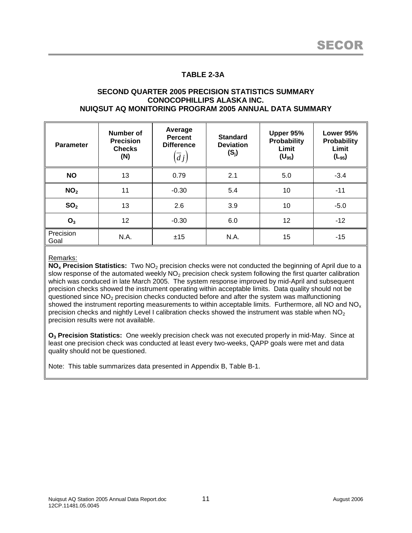## **TABLE 2-3A**

#### **SECOND QUARTER 2005 PRECISION STATISTICS SUMMARY CONOCOPHILLIPS ALASKA INC. NUIQSUT AQ MONITORING PROGRAM 2005 ANNUAL DATA SUMMARY**

| <b>Parameter</b>  | Number of<br><b>Precision</b><br><b>Checks</b><br>(N) | Average<br><b>Percent</b><br><b>Difference</b><br>$\left( dj\right)$ | <b>Standard</b><br><b>Deviation</b><br>$(S_j)$ | Upper 95%<br><b>Probability</b><br>Limit<br>$(U_{95})$ | Lower 95%<br>Probability<br>Limit<br>$(L_{95})$ |
|-------------------|-------------------------------------------------------|----------------------------------------------------------------------|------------------------------------------------|--------------------------------------------------------|-------------------------------------------------|
| <b>NO</b>         | 13                                                    | 0.79                                                                 | 2.1                                            | 5.0                                                    | $-3.4$                                          |
| NO <sub>2</sub>   | 11                                                    | $-0.30$                                                              | 5.4                                            | 10                                                     | $-11$                                           |
| SO <sub>2</sub>   | 13                                                    | 2.6                                                                  | 3.9                                            | 10                                                     | $-5.0$                                          |
| O <sub>3</sub>    | 12                                                    | $-0.30$                                                              | 6.0                                            | 12                                                     | $-12$                                           |
| Precision<br>Goal | N.A.                                                  | ±15                                                                  | N.A.                                           | 15                                                     | $-15$                                           |

#### Remarks:

**NO<sub>x</sub>** Precision Statistics: Two NO<sub>2</sub> precision checks were not conducted the beginning of April due to a slow response of the automated weekly NO<sub>2</sub> precision check system following the first quarter calibration which was conduced in late March 2005. The system response improved by mid-April and subsequent precision checks showed the instrument operating within acceptable limits. Data quality should not be questioned since  $NO<sub>2</sub>$  precision checks conducted before and after the system was malfunctioning showed the instrument reporting measurements to within acceptable limits. Furthermore, all NO and NO<sub>x</sub> precision checks and nightly Level I calibration checks showed the instrument was stable when  $NO<sub>2</sub>$ precision results were not available.

**O<sup>3</sup> Precision Statistics:** One weekly precision check was not executed properly in mid-May. Since at least one precision check was conducted at least every two-weeks, QAPP goals were met and data quality should not be questioned.

Note: This table summarizes data presented in Appendix B, Table B-1.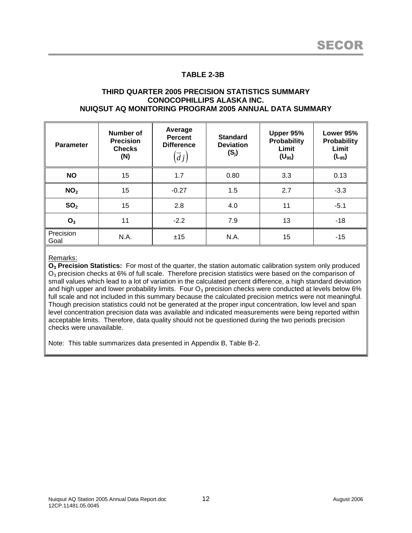## **TABLE 2-3B**

#### **THIRD QUARTER 2005 PRECISION STATISTICS SUMMARY CONOCOPHILLIPS ALASKA INC. NUIQSUT AQ MONITORING PROGRAM 2005 ANNUAL DATA SUMMARY**

| <b>Parameter</b>  | Number of<br><b>Precision</b><br><b>Checks</b><br>(N) | Average<br><b>Percent</b><br><b>Difference</b><br>$\left( dj\right)$ | <b>Standard</b><br><b>Deviation</b><br>$(S_j)$ | Upper 95%<br><b>Probability</b><br>Limit<br>$(U_{95})$ | Lower 95%<br>Probability<br>Limit<br>$(L_{95})$ |
|-------------------|-------------------------------------------------------|----------------------------------------------------------------------|------------------------------------------------|--------------------------------------------------------|-------------------------------------------------|
| <b>NO</b>         | 15                                                    | 1.7                                                                  | 0.80                                           | 3.3                                                    | 0.13                                            |
| NO <sub>2</sub>   | 15                                                    | $-0.27$                                                              | 1.5                                            | 2.7                                                    | $-3.3$                                          |
| SO <sub>2</sub>   | 15                                                    | 2.8                                                                  | 4.0                                            | 11                                                     | $-5.1$                                          |
| O <sub>3</sub>    | 11                                                    | $-2.2$                                                               | 7.9                                            | 13                                                     | $-18$                                           |
| Precision<br>Goal | N.A.                                                  | ±15                                                                  | N.A.                                           | 15                                                     | $-15$                                           |

#### Remarks:

**O<sup>3</sup> Precision Statistics:** For most of the quarter, the station automatic calibration system only produced  $O<sub>3</sub>$  precision checks at 6% of full scale. Therefore precision statistics were based on the comparison of small values which lead to a lot of variation in the calculated percent difference, a high standard deviation and high upper and lower probability limits. Four  $O_3$  precision checks were conducted at levels below 6% full scale and not included in this summary because the calculated precision metrics were not meaningful. Though precision statistics could not be generated at the proper input concentration, low level and span level concentration precision data was available and indicated measurements were being reported within acceptable limits. Therefore, data quality should not be questioned during the two periods precision checks were unavailable.

Note: This table summarizes data presented in Appendix B, Table B-2.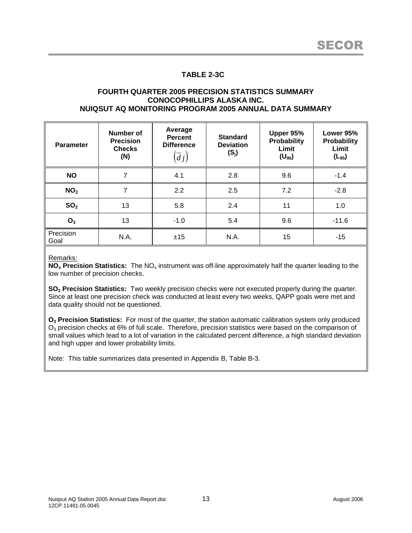## **TABLE 2-3C**

#### **FOURTH QUARTER 2005 PRECISION STATISTICS SUMMARY CONOCOPHILLIPS ALASKA INC. NUIQSUT AQ MONITORING PROGRAM 2005 ANNUAL DATA SUMMARY**

| <b>Parameter</b>  | Number of<br><b>Precision</b><br><b>Checks</b><br>(N) | Average<br><b>Percent</b><br><b>Difference</b><br>$\left(dj\right)$ | <b>Standard</b><br><b>Deviation</b><br>$(S_j)$ | Upper 95%<br><b>Probability</b><br>Limit<br>$(U_{95})$ | Lower 95%<br>Probability<br>Limit<br>$(L_{95})$ |
|-------------------|-------------------------------------------------------|---------------------------------------------------------------------|------------------------------------------------|--------------------------------------------------------|-------------------------------------------------|
| <b>NO</b>         | 7                                                     | 4.1                                                                 | 2.8                                            | 9.6                                                    | $-1.4$                                          |
| NO <sub>2</sub>   | 7                                                     | 2.2                                                                 | 2.5                                            | 7.2                                                    | $-2.8$                                          |
| SO <sub>2</sub>   | 13                                                    | 5.8                                                                 | 2.4                                            | 11                                                     | 1.0                                             |
| O <sub>3</sub>    | 13                                                    | $-1.0$                                                              | 5.4                                            | 9.6                                                    | $-11.6$                                         |
| Precision<br>Goal | N.A.                                                  | ±15                                                                 | N.A.                                           | 15                                                     | $-15$                                           |

Remarks:

**NO<sub>x</sub>** Precision Statistics: The NO<sub>x</sub> instrument was off-line approximately half the quarter leading to the low number of precision checks.

**SO<sup>2</sup> Precision Statistics:** Two weekly precision checks were not executed properly during the quarter. Since at least one precision check was conducted at least every two weeks, QAPP goals were met and data quality should not be questioned.

**O<sup>3</sup> Precision Statistics:** For most of the quarter, the station automatic calibration system only produced O<sub>3</sub> precision checks at 6% of full scale. Therefore, precision statistics were based on the comparison of small values which lead to a lot of variation in the calculated percent difference, a high standard deviation and high upper and lower probability limits.

Note: This table summarizes data presented in Appendix B, Table B-3.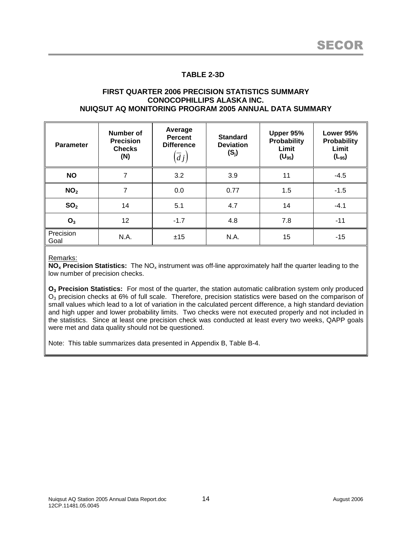## **TABLE 2-3D**

#### **FIRST QUARTER 2006 PRECISION STATISTICS SUMMARY CONOCOPHILLIPS ALASKA INC. NUIQSUT AQ MONITORING PROGRAM 2005 ANNUAL DATA SUMMARY**

| <b>Parameter</b>  | Number of<br><b>Precision</b><br><b>Checks</b><br>(N) | Average<br><b>Percent</b><br><b>Difference</b><br>$\left(dj\right)$ | <b>Standard</b><br><b>Deviation</b><br>$(S_j)$ | Upper 95%<br><b>Probability</b><br>Limit<br>$(U_{95})$ | Lower 95%<br>Probability<br>Limit<br>$(L_{95})$ |
|-------------------|-------------------------------------------------------|---------------------------------------------------------------------|------------------------------------------------|--------------------------------------------------------|-------------------------------------------------|
| <b>NO</b>         | 7                                                     | 3.2                                                                 | 3.9                                            | 11                                                     | $-4.5$                                          |
| NO <sub>2</sub>   | 7                                                     | 0.0                                                                 | 0.77                                           | 1.5                                                    | $-1.5$                                          |
| SO <sub>2</sub>   | 14                                                    | 5.1                                                                 | 4.7                                            | 14                                                     | $-4.1$                                          |
| O <sub>3</sub>    | 12                                                    | $-1.7$                                                              | 4.8                                            | 7.8                                                    | $-11$                                           |
| Precision<br>Goal | N.A.                                                  | ±15                                                                 | N.A.                                           | 15                                                     | $-15$                                           |

Remarks:

**NO<sub>x</sub>** Precision Statistics: The NO<sub>x</sub> instrument was off-line approximately half the quarter leading to the low number of precision checks.

**O<sup>3</sup> Precision Statistics:** For most of the quarter, the station automatic calibration system only produced O<sub>3</sub> precision checks at 6% of full scale. Therefore, precision statistics were based on the comparison of small values which lead to a lot of variation in the calculated percent difference, a high standard deviation and high upper and lower probability limits. Two checks were not executed properly and not included in the statistics. Since at least one precision check was conducted at least every two weeks, QAPP goals were met and data quality should not be questioned.

Note: This table summarizes data presented in Appendix B, Table B-4.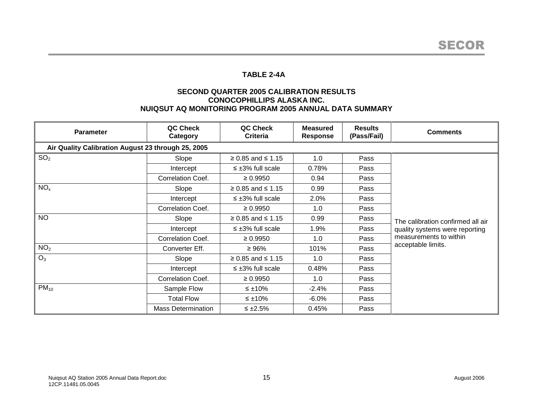## **TABLE 2-4A**

### **SECOND QUARTER 2005 CALIBRATION RESULTS CONOCOPHILLIPS ALASKA INC. NUIQSUT AQ MONITORING PROGRAM 2005 ANNUAL DATA SUMMARY**

| <b>Parameter</b>                                   | QC Check<br>Category      | QC Check<br>Criteria      | <b>Measured</b><br><b>Response</b> | <b>Results</b><br>(Pass/Fail) | <b>Comments</b>                   |  |  |  |
|----------------------------------------------------|---------------------------|---------------------------|------------------------------------|-------------------------------|-----------------------------------|--|--|--|
| Air Quality Calibration August 23 through 25, 2005 |                           |                           |                                    |                               |                                   |  |  |  |
| SO <sub>2</sub>                                    | Slope                     | $≥ 0.85$ and ≤ 1.15       | 1.0                                | Pass                          |                                   |  |  |  |
|                                                    | Intercept                 | $\leq \pm 3\%$ full scale | 0.78%                              | Pass                          |                                   |  |  |  |
|                                                    | Correlation Coef.         | $\geq 0.9950$             | 0.94                               | Pass                          |                                   |  |  |  |
| NO <sub>x</sub>                                    | Slope                     | $≥ 0.85$ and ≤ 1.15       | 0.99                               | Pass                          |                                   |  |  |  |
|                                                    | Intercept                 | $\leq \pm 3\%$ full scale | 2.0%                               | Pass                          |                                   |  |  |  |
|                                                    | <b>Correlation Coef.</b>  | $\geq 0.9950$             | 1.0                                | Pass                          |                                   |  |  |  |
| <b>NO</b>                                          | Slope                     | $≥ 0.85$ and ≤ 1.15       | 0.99                               | Pass                          | The calibration confirmed all air |  |  |  |
|                                                    | Intercept                 | $\leq \pm 3\%$ full scale | 1.9%                               | Pass                          | quality systems were reporting    |  |  |  |
|                                                    | Correlation Coef.         | $\geq 0.9950$             | 1.0                                | Pass                          | measurements to within            |  |  |  |
| NO <sub>2</sub>                                    | Converter Eff.            | $\geq 96\%$               | 101%                               | Pass                          | acceptable limits.                |  |  |  |
| $O_3$                                              | Slope                     | $≥ 0.85$ and ≤ 1.15       | 1.0                                | Pass                          |                                   |  |  |  |
|                                                    | Intercept                 | $\leq \pm 3\%$ full scale | 0.48%                              | Pass                          |                                   |  |  |  |
|                                                    | Correlation Coef.         | $\geq 0.9950$             | 1.0                                | Pass                          |                                   |  |  |  |
| $PM_{10}$                                          | Sample Flow               | $\leq \pm 10\%$           | $-2.4%$                            | Pass                          |                                   |  |  |  |
|                                                    | <b>Total Flow</b>         | $\leq \pm 10\%$           | $-6.0\%$                           | Pass                          |                                   |  |  |  |
|                                                    | <b>Mass Determination</b> | $\leq \pm 2.5\%$          | 0.45%                              | Pass                          |                                   |  |  |  |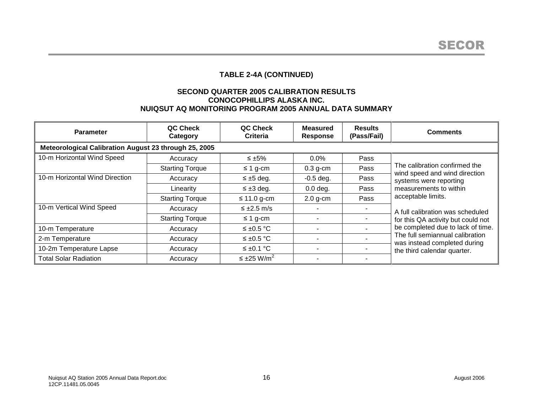# **TABLE 2-4A (CONTINUED)**

### **SECOND QUARTER 2005 CALIBRATION RESULTS CONOCOPHILLIPS ALASKA INC. NUIQSUT AQ MONITORING PROGRAM 2005 ANNUAL DATA SUMMARY**

| <b>Parameter</b>                                      | QC Check<br>Category   | QC Check<br>Criteria           | <b>Measured</b><br><b>Response</b> | <b>Results</b><br>(Pass/Fail) | <b>Comments</b>                                                                                                                     |  |  |  |
|-------------------------------------------------------|------------------------|--------------------------------|------------------------------------|-------------------------------|-------------------------------------------------------------------------------------------------------------------------------------|--|--|--|
| Meteorological Calibration August 23 through 25, 2005 |                        |                                |                                    |                               |                                                                                                                                     |  |  |  |
| 10-m Horizontal Wind Speed                            | Accuracy               | $\leq \pm 5\%$                 | 0.0%                               | Pass                          |                                                                                                                                     |  |  |  |
|                                                       | <b>Starting Torque</b> | $\leq$ 1 g-cm                  | $0.3$ g-cm                         | Pass                          | The calibration confirmed the<br>wind speed and wind direction                                                                      |  |  |  |
| 10-m Horizontal Wind Direction                        | Accuracy               | $\leq \pm 5$ deg.              | $-0.5$ deg.                        | Pass                          | systems were reporting                                                                                                              |  |  |  |
|                                                       | Linearity              | $\leq \pm 3$ deg.              | $0.0$ deg.                         | Pass                          | measurements to within                                                                                                              |  |  |  |
|                                                       | <b>Starting Torque</b> | $\leq$ 11.0 g-cm               | $2.0$ g-cm                         | Pass                          | acceptable limits.                                                                                                                  |  |  |  |
| 10-m Vertical Wind Speed                              | Accuracy               | $\leq \pm 2.5$ m/s             |                                    |                               | A full calibration was scheduled                                                                                                    |  |  |  |
|                                                       | <b>Starting Torque</b> | $\leq$ 1 g-cm                  |                                    |                               | for this QA activity but could not                                                                                                  |  |  |  |
| 10-m Temperature                                      | Accuracy               | ≤ ±0.5 °C                      |                                    |                               | be completed due to lack of time.<br>The full semiannual calibration<br>was instead completed during<br>the third calendar quarter. |  |  |  |
| 2-m Temperature                                       | Accuracy               | $≤$ ±0.5 °C                    |                                    |                               |                                                                                                                                     |  |  |  |
| 10-2m Temperature Lapse                               | Accuracy               | ≤ ±0.1 °C                      | ٠                                  |                               |                                                                                                                                     |  |  |  |
| <b>Total Solar Radiation</b>                          | Accuracy               | $\leq \pm 25$ W/m <sup>2</sup> |                                    |                               |                                                                                                                                     |  |  |  |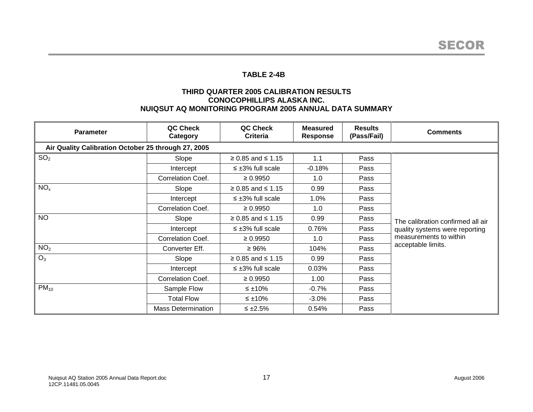## **TABLE 2-4B**

### **THIRD QUARTER 2005 CALIBRATION RESULTS CONOCOPHILLIPS ALASKA INC. NUIQSUT AQ MONITORING PROGRAM 2005 ANNUAL DATA SUMMARY**

| <b>Parameter</b>                                    | QC Check<br>Category      | QC Check<br>Criteria      | <b>Measured</b><br><b>Response</b> | <b>Results</b><br>(Pass/Fail) | <b>Comments</b>                   |  |  |  |
|-----------------------------------------------------|---------------------------|---------------------------|------------------------------------|-------------------------------|-----------------------------------|--|--|--|
| Air Quality Calibration October 25 through 27, 2005 |                           |                           |                                    |                               |                                   |  |  |  |
| SO <sub>2</sub>                                     | Slope                     | $≥ 0.85$ and ≤ 1.15       | 1.1                                | Pass                          |                                   |  |  |  |
|                                                     | Intercept                 | $\leq \pm 3\%$ full scale | $-0.18%$                           | Pass                          |                                   |  |  |  |
|                                                     | Correlation Coef.         | $\geq 0.9950$             | 1.0                                | Pass                          |                                   |  |  |  |
| NO <sub>x</sub>                                     | Slope                     | $≥ 0.85$ and ≤ 1.15       | 0.99                               | Pass                          |                                   |  |  |  |
|                                                     | Intercept                 | $\leq \pm 3\%$ full scale | 1.0%                               | Pass                          |                                   |  |  |  |
|                                                     | Correlation Coef.         | $\geq 0.9950$             | 1.0                                | Pass                          |                                   |  |  |  |
| <b>NO</b>                                           | Slope                     | $≥ 0.85$ and ≤ 1.15       | 0.99                               | Pass                          | The calibration confirmed all air |  |  |  |
|                                                     | Intercept                 | $\leq \pm 3\%$ full scale | 0.76%                              | Pass                          | quality systems were reporting    |  |  |  |
|                                                     | Correlation Coef.         | $\geq 0.9950$             | 1.0                                | Pass                          | measurements to within            |  |  |  |
| NO <sub>2</sub>                                     | Converter Eff.            | ≥ 96%                     | 104%                               | Pass                          | acceptable limits.                |  |  |  |
| $O_3$                                               | Slope                     | $≥ 0.85$ and ≤ 1.15       | 0.99                               | Pass                          |                                   |  |  |  |
|                                                     | Intercept                 | $\leq \pm 3\%$ full scale | 0.03%                              | Pass                          |                                   |  |  |  |
|                                                     | Correlation Coef.         | $\geq 0.9950$             | 1.00                               | Pass                          |                                   |  |  |  |
| $PM_{10}$                                           | Sample Flow               | $\leq \pm 10\%$           | $-0.7%$                            | Pass                          |                                   |  |  |  |
|                                                     | <b>Total Flow</b>         | $\leq \pm 10\%$           | $-3.0\%$                           | Pass                          |                                   |  |  |  |
|                                                     | <b>Mass Determination</b> | $\leq \pm 2.5\%$          | 0.54%                              | Pass                          |                                   |  |  |  |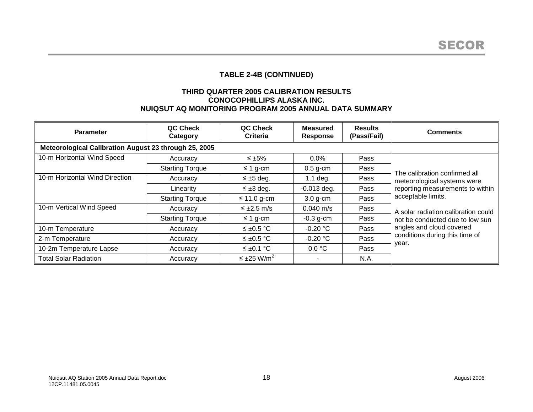# **TABLE 2-4B (CONTINUED)**

### **THIRD QUARTER 2005 CALIBRATION RESULTS CONOCOPHILLIPS ALASKA INC. NUIQSUT AQ MONITORING PROGRAM 2005 ANNUAL DATA SUMMARY**

| <b>Parameter</b>                                      | QC Check<br>Category   | QC Check<br>Criteria           | <b>Measured</b><br><b>Response</b> | <b>Results</b><br>(Pass/Fail) | <b>Comments</b>                         |  |  |  |
|-------------------------------------------------------|------------------------|--------------------------------|------------------------------------|-------------------------------|-----------------------------------------|--|--|--|
| Meteorological Calibration August 23 through 25, 2005 |                        |                                |                                    |                               |                                         |  |  |  |
| 10-m Horizontal Wind Speed                            | Accuracy               | ≤ $±5\%$                       | 0.0%                               | Pass                          |                                         |  |  |  |
|                                                       | <b>Starting Torque</b> | $\leq$ 1 g-cm                  | $0.5$ g-cm                         | Pass                          | The calibration confirmed all           |  |  |  |
| 10-m Horizontal Wind Direction                        | Accuracy               | $\leq \pm 5$ deg.              | $1.1$ deg.                         | Pass                          | meteorological systems were             |  |  |  |
|                                                       | Linearity              | $\leq \pm 3$ deg.              | $-0.013$ deg.                      | Pass                          | reporting measurements to within        |  |  |  |
|                                                       | <b>Starting Torque</b> | $\leq$ 11.0 g-cm               | $3.0$ g-cm                         | Pass                          | acceptable limits.                      |  |  |  |
| 10-m Vertical Wind Speed                              | Accuracy               | $\leq \pm 2.5$ m/s             | $0.040 \text{ m/s}$                | Pass                          | A solar radiation calibration could     |  |  |  |
|                                                       | <b>Starting Torque</b> | $\leq$ 1 g-cm                  | $-0.3$ g-cm                        | Pass                          | not be conducted due to low sun         |  |  |  |
| 10-m Temperature                                      | Accuracy               | $≤$ ±0.5 °C                    | $-0.20$ °C                         | Pass                          | angles and cloud covered                |  |  |  |
| 2-m Temperature                                       | Accuracy               | $≤$ ±0.5 °C                    | $-0.20 °C$                         | Pass                          | conditions during this time of<br>year. |  |  |  |
| 10-2m Temperature Lapse                               | Accuracy               | ≤ ±0.1 °C                      | 0.0 °C                             | Pass                          |                                         |  |  |  |
| <b>Total Solar Radiation</b>                          | Accuracy               | $\leq \pm 25$ W/m <sup>2</sup> |                                    | N.A.                          |                                         |  |  |  |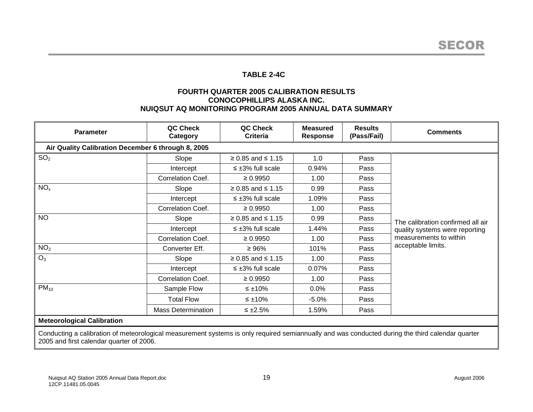## **TABLE 2-4C**

### **FOURTH QUARTER 2005 CALIBRATION RESULTS CONOCOPHILLIPS ALASKA INC. NUIQSUT AQ MONITORING PROGRAM 2005 ANNUAL DATA SUMMARY**

| <b>Parameter</b>                                                                                                                                                                                                                            | QC Check<br>Category      | QC Check<br><b>Criteria</b> | <b>Measured</b><br><b>Response</b> | <b>Results</b><br>(Pass/Fail) | <b>Comments</b>                                                     |  |  |
|---------------------------------------------------------------------------------------------------------------------------------------------------------------------------------------------------------------------------------------------|---------------------------|-----------------------------|------------------------------------|-------------------------------|---------------------------------------------------------------------|--|--|
| Air Quality Calibration December 6 through 8, 2005                                                                                                                                                                                          |                           |                             |                                    |                               |                                                                     |  |  |
| SO <sub>2</sub>                                                                                                                                                                                                                             | Slope                     | $≥ 0.85$ and ≤ 1.15         | 1.0                                | Pass                          |                                                                     |  |  |
|                                                                                                                                                                                                                                             | Intercept                 | $\leq \pm 3\%$ full scale   | 0.94%                              | Pass                          |                                                                     |  |  |
|                                                                                                                                                                                                                                             | Correlation Coef.         | $\geq 0.9950$               | 1.00                               | Pass                          |                                                                     |  |  |
| NO <sub>x</sub>                                                                                                                                                                                                                             | Slope                     | $≥ 0.85$ and ≤ 1.15         | 0.99                               | Pass                          |                                                                     |  |  |
|                                                                                                                                                                                                                                             | Intercept                 | $\leq \pm 3\%$ full scale   | 1.09%                              | Pass                          |                                                                     |  |  |
|                                                                                                                                                                                                                                             | Correlation Coef.         | $\geq 0.9950$               | 1.00                               | Pass                          |                                                                     |  |  |
| <b>NO</b>                                                                                                                                                                                                                                   | Slope                     | $≥ 0.85$ and ≤ 1.15         | 0.99                               | Pass                          | The calibration confirmed all air<br>quality systems were reporting |  |  |
|                                                                                                                                                                                                                                             | Intercept                 | $\leq \pm 3\%$ full scale   | 1.44%                              | Pass                          |                                                                     |  |  |
|                                                                                                                                                                                                                                             | Correlation Coef.         | $\geq 0.9950$               | 1.00                               | Pass                          | measurements to within                                              |  |  |
| NO <sub>2</sub>                                                                                                                                                                                                                             | Converter Eff.            | $\geq 96\%$                 | 101%                               | Pass                          | acceptable limits.                                                  |  |  |
| $O_3$                                                                                                                                                                                                                                       | Slope                     | $≥ 0.85$ and ≤ 1.15         | 1.00                               | Pass                          |                                                                     |  |  |
|                                                                                                                                                                                                                                             | Intercept                 | $\leq \pm 3\%$ full scale   | 0.07%                              | Pass                          |                                                                     |  |  |
|                                                                                                                                                                                                                                             | Correlation Coef.         | $\geq 0.9950$               | 1.00                               | Pass                          |                                                                     |  |  |
| $PM_{10}$                                                                                                                                                                                                                                   | Sample Flow               | ≤ ±10%                      | 0.0%                               | Pass                          |                                                                     |  |  |
|                                                                                                                                                                                                                                             | <b>Total Flow</b>         | ≤ ±10%                      | $-5.0%$                            | Pass                          |                                                                     |  |  |
|                                                                                                                                                                                                                                             | <b>Mass Determination</b> | $\leq \pm 2.5\%$            | 1.59%                              | Pass                          |                                                                     |  |  |
| <b>Meteorological Calibration</b>                                                                                                                                                                                                           |                           |                             |                                    |                               |                                                                     |  |  |
| Conducting a calibration of meteorological measurement systems is only required semiannually and was conducted during the third calendar quarter<br>$\sim$ 10 $\sim$ 100 $\sim$ 1000 $\sim$ 1000 $\sim$ 1000 $\sim$ 1000 $\sim$ 1000 $\sim$ |                           |                             |                                    |                               |                                                                     |  |  |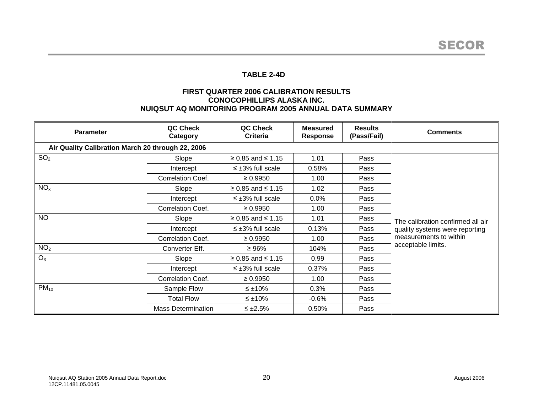## **TABLE 2-4D**

### **FIRST QUARTER 2006 CALIBRATION RESULTS CONOCOPHILLIPS ALASKA INC. NUIQSUT AQ MONITORING PROGRAM 2005 ANNUAL DATA SUMMARY**

| <b>Parameter</b>                                  | QC Check<br>Category      | QC Check<br>Criteria      | <b>Measured</b><br><b>Response</b> | <b>Results</b><br>(Pass/Fail) | <b>Comments</b>                   |
|---------------------------------------------------|---------------------------|---------------------------|------------------------------------|-------------------------------|-----------------------------------|
| Air Quality Calibration March 20 through 22, 2006 |                           |                           |                                    |                               |                                   |
| SO <sub>2</sub>                                   | Slope                     | $≥ 0.85$ and ≤ 1.15       | 1.01                               | Pass                          |                                   |
|                                                   | Intercept                 | $\leq \pm 3\%$ full scale | 0.58%                              | Pass                          |                                   |
|                                                   | Correlation Coef.         | $\geq 0.9950$             | 1.00                               | Pass                          |                                   |
| NO <sub>x</sub>                                   | Slope                     | $≥ 0.85$ and ≤ 1.15       | 1.02                               | Pass                          |                                   |
|                                                   | Intercept                 | $\leq \pm 3\%$ full scale | 0.0%                               | Pass                          |                                   |
|                                                   | <b>Correlation Coef.</b>  | $\geq 0.9950$             | 1.00                               | Pass                          |                                   |
| <b>NO</b>                                         | Slope                     | $≥ 0.85$ and ≤ 1.15       | 1.01                               | Pass                          | The calibration confirmed all air |
|                                                   | Intercept                 | $\leq \pm 3\%$ full scale | 0.13%                              | Pass                          | quality systems were reporting    |
|                                                   | Correlation Coef.         | $\geq 0.9950$             | 1.00                               | Pass                          | measurements to within            |
| NO <sub>2</sub>                                   | Converter Eff.            | $\geq 96\%$               | 104%                               | Pass                          | acceptable limits.                |
| $O_3$                                             | Slope                     | $≥ 0.85$ and ≤ 1.15       | 0.99                               | Pass                          |                                   |
|                                                   | Intercept                 | $\leq \pm 3\%$ full scale | 0.37%                              | Pass                          |                                   |
|                                                   | Correlation Coef.         | $\geq 0.9950$             | 1.00                               | Pass                          |                                   |
| $PM_{10}$                                         | Sample Flow               | $\leq \pm 10\%$           | 0.3%                               | Pass                          |                                   |
|                                                   | <b>Total Flow</b>         | $\leq \pm 10\%$           | $-0.6\%$                           | Pass                          |                                   |
|                                                   | <b>Mass Determination</b> | $\leq \pm 2.5\%$          | 0.50%                              | Pass                          |                                   |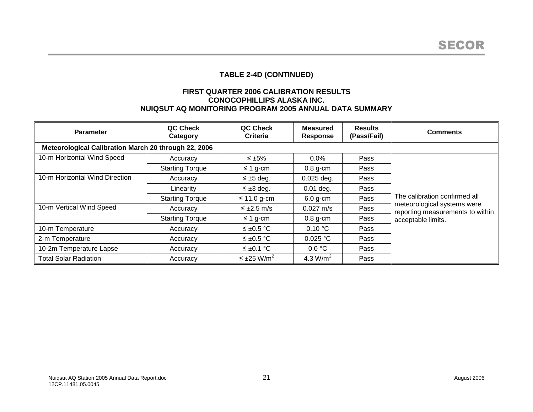# **TABLE 2-4D (CONTINUED)**

### **FIRST QUARTER 2006 CALIBRATION RESULTS CONOCOPHILLIPS ALASKA INC. NUIQSUT AQ MONITORING PROGRAM 2005 ANNUAL DATA SUMMARY**

| <b>Parameter</b>                                     | QC Check<br>Category   | QC Check<br>Criteria           | <b>Measured</b><br><b>Response</b> | <b>Results</b><br>(Pass/Fail) | <b>Comments</b>                                                 |
|------------------------------------------------------|------------------------|--------------------------------|------------------------------------|-------------------------------|-----------------------------------------------------------------|
| Meteorological Calibration March 20 through 22, 2006 |                        |                                |                                    |                               |                                                                 |
| 10-m Horizontal Wind Speed                           | Accuracy               | ≤ $±5\%$                       | 0.0%                               | Pass                          |                                                                 |
|                                                      | <b>Starting Torque</b> | $\leq$ 1 g-cm                  | $0.8$ g-cm                         | Pass                          |                                                                 |
| 10-m Horizontal Wind Direction                       | Accuracy               | $\leq \pm 5$ deg.              | $0.025$ deg.                       | Pass                          |                                                                 |
|                                                      | Linearity              | $\leq \pm 3$ deg.              | $0.01$ deg.                        | Pass                          |                                                                 |
|                                                      | <b>Starting Torque</b> | $\leq$ 11.0 g-cm               | $6.0$ g-cm                         | Pass                          | The calibration confirmed all                                   |
| 10-m Vertical Wind Speed                             | Accuracy               | $\leq \pm 2.5$ m/s             | $0.027 \text{ m/s}$                | Pass                          | meteorological systems were<br>reporting measurements to within |
|                                                      | <b>Starting Torque</b> | $\leq$ 1 g-cm                  | $0.8$ g-cm                         | Pass                          | acceptable limits.                                              |
| 10-m Temperature                                     | Accuracy               | ≤ ±0.5 °C                      | 0.10 °C                            | Pass                          |                                                                 |
| 2-m Temperature                                      | Accuracy               | $≤$ ±0.5 °C                    | 0.025 °C                           | Pass                          |                                                                 |
| 10-2m Temperature Lapse                              | Accuracy               | ≤ ±0.1 °C                      | 0.0 °C                             | Pass                          |                                                                 |
| Total Solar Radiation                                | Accuracy               | $\leq \pm 25$ W/m <sup>2</sup> | 4.3 $W/m^2$                        | Pass                          |                                                                 |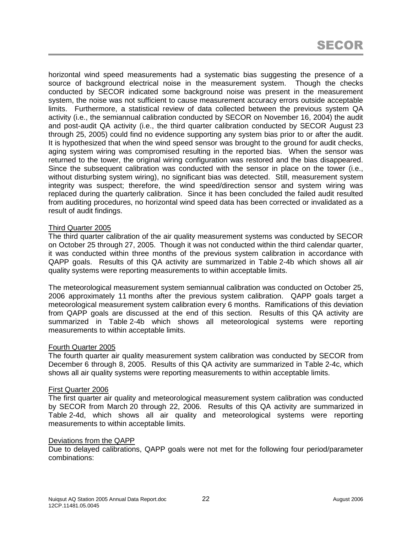horizontal wind speed measurements had a systematic bias suggesting the presence of a source of background electrical noise in the measurement system. Though the checks conducted by SECOR indicated some background noise was present in the measurement system, the noise was not sufficient to cause measurement accuracy errors outside acceptable limits. Furthermore, a statistical review of data collected between the previous system QA activity (i.e., the semiannual calibration conducted by SECOR on November 16, 2004) the audit and post-audit QA activity (i.e., the third quarter calibration conducted by SECOR August 23 through 25, 2005) could find no evidence supporting any system bias prior to or after the audit. It is hypothesized that when the wind speed sensor was brought to the ground for audit checks, aging system wiring was compromised resulting in the reported bias. When the sensor was returned to the tower, the original wiring configuration was restored and the bias disappeared. Since the subsequent calibration was conducted with the sensor in place on the tower (i.e., without disturbing system wiring), no significant bias was detected. Still, measurement system integrity was suspect; therefore, the wind speed/direction sensor and system wiring was replaced during the quarterly calibration. Since it has been concluded the failed audit resulted from auditing procedures, no horizontal wind speed data has been corrected or invalidated as a result of audit findings.

#### Third Quarter 2005

The third quarter calibration of the air quality measurement systems was conducted by SECOR on October 25 through 27, 2005. Though it was not conducted within the third calendar quarter, it was conducted within three months of the previous system calibration in accordance with QAPP goals. Results of this QA activity are summarized in Table 2-4b which shows all air quality systems were reporting measurements to within acceptable limits.

The meteorological measurement system semiannual calibration was conducted on October 25, 2006 approximately 11 months after the previous system calibration. QAPP goals target a meteorological measurement system calibration every 6 months. Ramifications of this deviation from QAPP goals are discussed at the end of this section. Results of this QA activity are summarized in Table 2-4b which shows all meteorological systems were reporting measurements to within acceptable limits.

#### Fourth Quarter 2005

The fourth quarter air quality measurement system calibration was conducted by SECOR from December 6 through 8, 2005. Results of this QA activity are summarized in Table 2-4c, which shows all air quality systems were reporting measurements to within acceptable limits.

#### First Quarter 2006

The first quarter air quality and meteorological measurement system calibration was conducted by SECOR from March 20 through 22, 2006. Results of this QA activity are summarized in Table 2-4d, which shows all air quality and meteorological systems were reporting measurements to within acceptable limits.

#### Deviations from the QAPP

Due to delayed calibrations, QAPP goals were not met for the following four period/parameter combinations: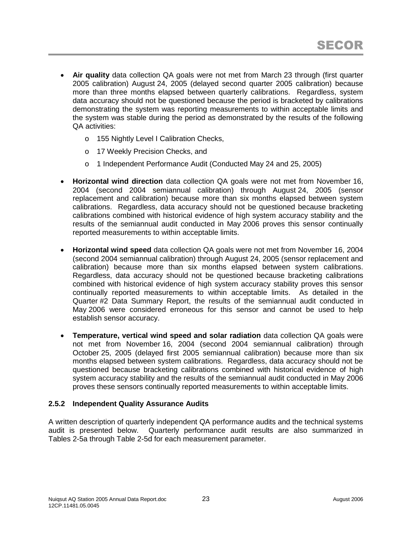- **Air quality** data collection QA goals were not met from March 23 through (first quarter 2005 calibration) August 24, 2005 (delayed second quarter 2005 calibration) because more than three months elapsed between quarterly calibrations. Regardless, system data accuracy should not be questioned because the period is bracketed by calibrations demonstrating the system was reporting measurements to within acceptable limits and the system was stable during the period as demonstrated by the results of the following QA activities:
	- o 155 Nightly Level I Calibration Checks,
	- o 17 Weekly Precision Checks, and
	- o 1 Independent Performance Audit (Conducted May 24 and 25, 2005)
- **Horizontal wind direction** data collection QA goals were not met from November 16, 2004 (second 2004 semiannual calibration) through August 24, 2005 (sensor replacement and calibration) because more than six months elapsed between system calibrations. Regardless, data accuracy should not be questioned because bracketing calibrations combined with historical evidence of high system accuracy stability and the results of the semiannual audit conducted in May 2006 proves this sensor continually reported measurements to within acceptable limits.
- **Horizontal wind speed** data collection QA goals were not met from November 16, 2004 (second 2004 semiannual calibration) through August 24, 2005 (sensor replacement and calibration) because more than six months elapsed between system calibrations. Regardless, data accuracy should not be questioned because bracketing calibrations combined with historical evidence of high system accuracy stability proves this sensor continually reported measurements to within acceptable limits. As detailed in the Quarter #2 Data Summary Report, the results of the semiannual audit conducted in May 2006 were considered erroneous for this sensor and cannot be used to help establish sensor accuracy.
- **Temperature, vertical wind speed and solar radiation** data collection QA goals were not met from November 16, 2004 (second 2004 semiannual calibration) through October 25, 2005 (delayed first 2005 semiannual calibration) because more than six months elapsed between system calibrations. Regardless, data accuracy should not be questioned because bracketing calibrations combined with historical evidence of high system accuracy stability and the results of the semiannual audit conducted in May 2006 proves these sensors continually reported measurements to within acceptable limits.

## **2.5.2 Independent Quality Assurance Audits**

A written description of quarterly independent QA performance audits and the technical systems audit is presented below. Quarterly performance audit results are also summarized in Tables 2-5a through Table 2-5d for each measurement parameter.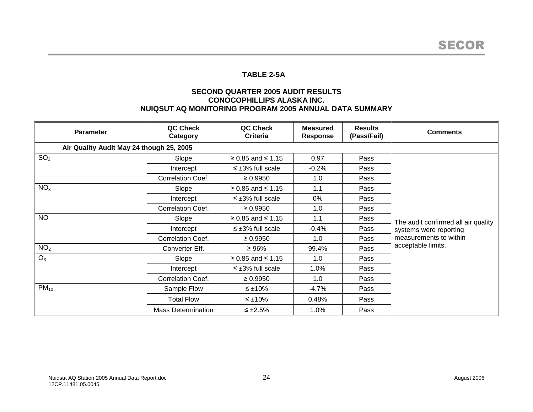## **TABLE 2-5A**

## **SECOND QUARTER 2005 AUDIT RESULTS CONOCOPHILLIPS ALASKA INC. NUIQSUT AQ MONITORING PROGRAM 2005 ANNUAL DATA SUMMARY**

| <b>Parameter</b>                         | QC Check<br>Category      | QC Check<br><b>Criteria</b> | <b>Measured</b><br><b>Response</b> | <b>Results</b><br>(Pass/Fail) | <b>Comments</b>                     |
|------------------------------------------|---------------------------|-----------------------------|------------------------------------|-------------------------------|-------------------------------------|
| Air Quality Audit May 24 though 25, 2005 |                           |                             |                                    |                               |                                     |
| SO <sub>2</sub>                          | Slope                     | $≥ 0.85$ and ≤ 1.15         | 0.97                               | Pass                          |                                     |
|                                          | Intercept                 | $\leq \pm 3\%$ full scale   | $-0.2%$                            | Pass                          |                                     |
|                                          | Correlation Coef.         | $\geq 0.9950$               | 1.0                                | Pass                          |                                     |
| NO <sub>x</sub>                          | Slope                     | $≥ 0.85$ and ≤ 1.15         | 1.1                                | Pass                          |                                     |
|                                          | Intercept                 | $\leq \pm 3\%$ full scale   | 0%                                 | Pass                          |                                     |
|                                          | Correlation Coef.         | $\geq 0.9950$               | 1.0                                | Pass                          |                                     |
| <b>NO</b>                                | Slope                     | $≥ 0.85$ and ≤ 1.15         | 1.1                                | Pass                          | The audit confirmed all air quality |
|                                          | Intercept                 | $\leq \pm 3\%$ full scale   | $-0.4\%$                           | Pass                          | systems were reporting              |
|                                          | Correlation Coef.         | $\geq 0.9950$               | 1.0                                | Pass                          | measurements to within              |
| NO <sub>2</sub>                          | Converter Eff.            | $\geq 96\%$                 | 99.4%                              | Pass                          | acceptable limits.                  |
| $O_3$                                    | Slope                     | $≥ 0.85$ and ≤ 1.15         | 1.0                                | Pass                          |                                     |
|                                          | Intercept                 | $\leq \pm 3\%$ full scale   | 1.0%                               | Pass                          |                                     |
|                                          | Correlation Coef.         | $\geq 0.9950$               | 1.0                                | Pass                          |                                     |
| $PM_{10}$                                | Sample Flow               | $\leq \pm 10\%$             | -4.7%                              | Pass                          |                                     |
|                                          | <b>Total Flow</b>         | ≤ $±10\%$                   | 0.48%                              | Pass                          |                                     |
|                                          | <b>Mass Determination</b> | $\leq \pm 2.5\%$            | $1.0\%$                            | Pass                          |                                     |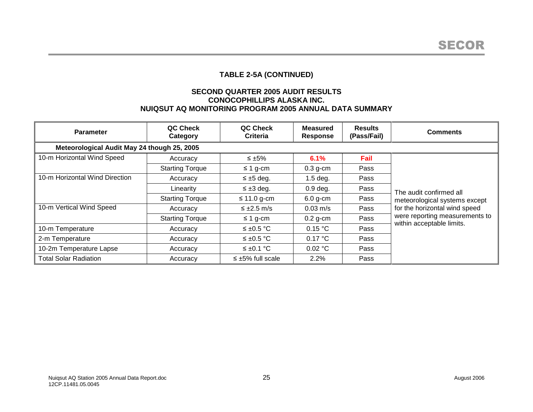# **TABLE 2-5A (CONTINUED)**

### **SECOND QUARTER 2005 AUDIT RESULTS CONOCOPHILLIPS ALASKA INC. NUIQSUT AQ MONITORING PROGRAM 2005 ANNUAL DATA SUMMARY**

| <b>Parameter</b>                            | QC Check<br>Category   | QC Check<br><b>Criteria</b> | <b>Measured</b><br>Response | <b>Results</b><br>(Pass/Fail) | <b>Comments</b>                |
|---------------------------------------------|------------------------|-----------------------------|-----------------------------|-------------------------------|--------------------------------|
| Meteorological Audit May 24 though 25, 2005 |                        |                             |                             |                               |                                |
| 10-m Horizontal Wind Speed                  | Accuracy               | ≤ $±5\%$                    | 6.1%                        | Fail                          |                                |
|                                             | <b>Starting Torque</b> | $\leq$ 1 g-cm               | $0.3$ g-cm                  | Pass                          |                                |
| 10-m Horizontal Wind Direction              | Accuracy               | $\leq \pm 5$ deg.           | $1.5$ deg.                  | Pass                          |                                |
|                                             | Linearity              | $\leq \pm 3$ deg.           | $0.9$ deg.                  | Pass                          | The audit confirmed all        |
|                                             | <b>Starting Torque</b> | $\leq$ 11.0 g-cm            | $6.0$ g-cm                  | Pass                          | meteorological systems except  |
| 10-m Vertical Wind Speed                    | Accuracy               | $\leq \pm 2.5$ m/s          | $0.03 \text{ m/s}$          | Pass                          | for the horizontal wind speed  |
|                                             | <b>Starting Torque</b> | $\leq$ 1 g-cm               | $0.2$ g-cm                  | Pass                          | were reporting measurements to |
| 10-m Temperature                            | Accuracy               | $\leq \pm 0.5$ °C           | 0.15 °C                     | Pass                          | within acceptable limits.      |
| 2-m Temperature                             | Accuracy               | $≤$ ±0.5 °C                 | 0.17 °C                     | Pass                          |                                |
| 10-2m Temperature Lapse                     | Accuracy               | $\leq \pm 0.1$ °C           | 0.02 °C                     | Pass                          |                                |
| <b>Total Solar Radiation</b>                | Accuracy               | $\leq \pm 5\%$ full scale   | 2.2%                        | Pass                          |                                |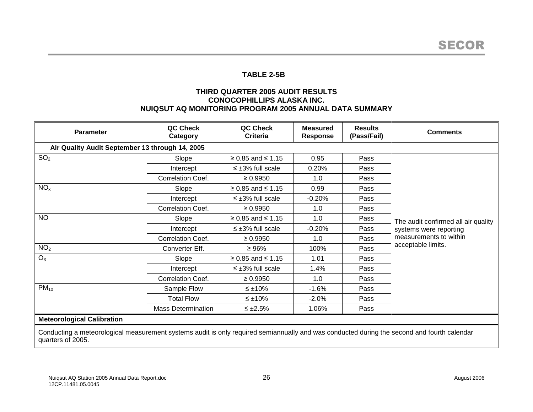## **TABLE 2-5B**

## **THIRD QUARTER 2005 AUDIT RESULTS CONOCOPHILLIPS ALASKA INC. NUIQSUT AQ MONITORING PROGRAM 2005 ANNUAL DATA SUMMARY**

| <b>Parameter</b>                                                                                                                                                 | QC Check<br>Category      | QC Check<br>Criteria      | <b>Measured</b><br><b>Response</b> | <b>Results</b><br>(Pass/Fail) | <b>Comments</b>                     |
|------------------------------------------------------------------------------------------------------------------------------------------------------------------|---------------------------|---------------------------|------------------------------------|-------------------------------|-------------------------------------|
| Air Quality Audit September 13 through 14, 2005                                                                                                                  |                           |                           |                                    |                               |                                     |
| SO <sub>2</sub>                                                                                                                                                  | Slope                     | $≥ 0.85$ and ≤ 1.15       | 0.95                               | Pass                          |                                     |
|                                                                                                                                                                  | Intercept                 | $\leq \pm 3\%$ full scale | 0.20%                              | Pass                          |                                     |
|                                                                                                                                                                  | Correlation Coef.         | $\geq 0.9950$             | 1.0                                | Pass                          |                                     |
| NO <sub>x</sub>                                                                                                                                                  | Slope                     | $≥ 0.85$ and ≤ 1.15       | 0.99                               | Pass                          |                                     |
|                                                                                                                                                                  | Intercept                 | $\leq \pm 3\%$ full scale | $-0.20%$                           | Pass                          |                                     |
|                                                                                                                                                                  | Correlation Coef.         | $\geq 0.9950$             | 1.0                                | Pass                          |                                     |
| <b>NO</b>                                                                                                                                                        | Slope                     | $≥ 0.85$ and ≤ 1.15       | 1.0                                | Pass                          | The audit confirmed all air quality |
|                                                                                                                                                                  | Intercept                 | $\leq \pm 3\%$ full scale | $-0.20%$                           | Pass                          | systems were reporting              |
|                                                                                                                                                                  | Correlation Coef.         | $\geq 0.9950$             | 1.0                                | Pass                          | measurements to within              |
| NO <sub>2</sub>                                                                                                                                                  | Converter Eff.            | $\geq 96\%$               | 100%                               | Pass                          | acceptable limits.                  |
| $O_3$                                                                                                                                                            | Slope                     | $≥ 0.85$ and ≤ 1.15       | 1.01                               | Pass                          |                                     |
|                                                                                                                                                                  | Intercept                 | $\leq \pm 3\%$ full scale | 1.4%                               | Pass                          |                                     |
|                                                                                                                                                                  | Correlation Coef.         | $\geq 0.9950$             | 1.0                                | Pass                          |                                     |
| $PM_{10}$                                                                                                                                                        | Sample Flow               | ≤ ±10%                    | $-1.6%$                            | Pass                          |                                     |
|                                                                                                                                                                  | <b>Total Flow</b>         | $\leq \pm 10\%$           | $-2.0%$                            | Pass                          |                                     |
|                                                                                                                                                                  | <b>Mass Determination</b> | $\leq \pm 2.5\%$          | 1.06%                              | Pass                          |                                     |
| <b>Meteorological Calibration</b>                                                                                                                                |                           |                           |                                    |                               |                                     |
| Conducting a meteorological measurement systems audit is only required semiannually and was conducted during the second and fourth calendar<br>quarters of 2005. |                           |                           |                                    |                               |                                     |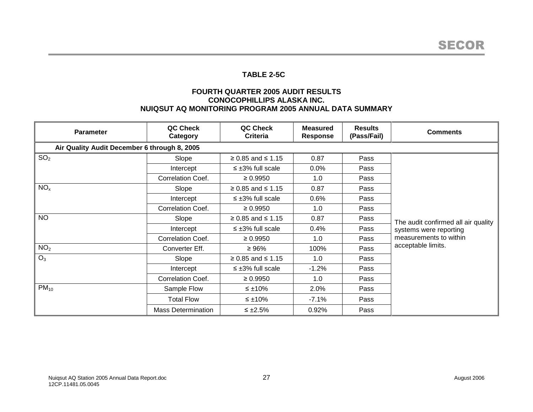## **TABLE 2-5C**

## **FOURTH QUARTER 2005 AUDIT RESULTS CONOCOPHILLIPS ALASKA INC. NUIQSUT AQ MONITORING PROGRAM 2005 ANNUAL DATA SUMMARY**

| <b>Parameter</b>                             | QC Check<br>Category      | QC Check<br><b>Criteria</b> | <b>Measured</b><br><b>Response</b> | <b>Results</b><br>(Pass/Fail) | <b>Comments</b>                     |
|----------------------------------------------|---------------------------|-----------------------------|------------------------------------|-------------------------------|-------------------------------------|
| Air Quality Audit December 6 through 8, 2005 |                           |                             |                                    |                               |                                     |
| SO <sub>2</sub>                              | Slope                     | $≥ 0.85$ and ≤ 1.15         | 0.87                               | Pass                          |                                     |
|                                              | Intercept                 | $\leq \pm 3\%$ full scale   | $0.0\%$                            | Pass                          |                                     |
|                                              | Correlation Coef.         | $\geq 0.9950$               | 1.0                                | Pass                          |                                     |
| NO <sub>x</sub>                              | Slope                     | $≥ 0.85$ and ≤ 1.15         | 0.87                               | Pass                          |                                     |
|                                              | Intercept                 | $\leq \pm 3\%$ full scale   | 0.6%                               | Pass                          |                                     |
|                                              | Correlation Coef.         | $\geq 0.9950$               | 1.0                                | Pass                          |                                     |
| <b>NO</b>                                    | Slope                     | $≥ 0.85$ and ≤ 1.15         | 0.87                               | Pass                          | The audit confirmed all air quality |
|                                              | Intercept                 | $\leq \pm 3\%$ full scale   | 0.4%                               | Pass                          | systems were reporting              |
|                                              | Correlation Coef.         | $\geq 0.9950$               | 1.0                                | Pass                          | measurements to within              |
| NO <sub>2</sub>                              | Converter Eff.            | $\geq 96\%$                 | 100%                               | Pass                          | acceptable limits.                  |
| $O_3$                                        | Slope                     | $≥ 0.85$ and ≤ 1.15         | 1.0                                | Pass                          |                                     |
|                                              | Intercept                 | $\leq \pm 3\%$ full scale   | $-1.2%$                            | Pass                          |                                     |
|                                              | Correlation Coef.         | $\geq 0.9950$               | 1.0                                | Pass                          |                                     |
| $PM_{10}$                                    | Sample Flow               | ≤ $±10\%$                   | 2.0%                               | Pass                          |                                     |
|                                              | <b>Total Flow</b>         | ≤ $±10\%$                   | $-7.1\%$                           | Pass                          |                                     |
|                                              | <b>Mass Determination</b> | $\leq \pm 2.5\%$            | 0.92%                              | Pass                          |                                     |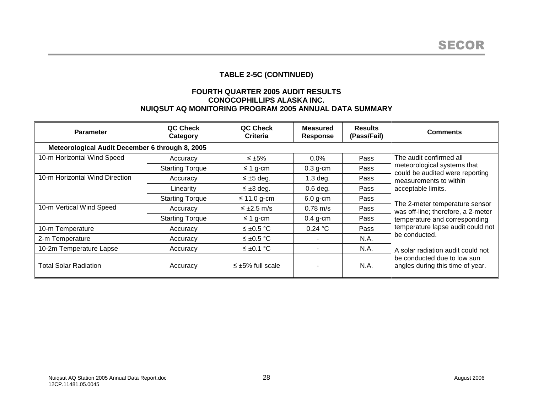# **TABLE 2-5C (CONTINUED)**

### **FOURTH QUARTER 2005 AUDIT RESULTS CONOCOPHILLIPS ALASKA INC. NUIQSUT AQ MONITORING PROGRAM 2005 ANNUAL DATA SUMMARY**

| <b>Parameter</b>                                | QC Check<br>Category   | QC Check<br><b>Criteria</b> | <b>Measured</b><br><b>Response</b> | <b>Results</b><br>(Pass/Fail) | <b>Comments</b>                                                      |
|-------------------------------------------------|------------------------|-----------------------------|------------------------------------|-------------------------------|----------------------------------------------------------------------|
| Meteorological Audit December 6 through 8, 2005 |                        |                             |                                    |                               |                                                                      |
| 10-m Horizontal Wind Speed                      | Accuracy               | $\leq \pm 5\%$              | $0.0\%$                            | Pass                          | The audit confirmed all                                              |
|                                                 | <b>Starting Torque</b> | $\leq$ 1 g-cm               | $0.3$ g-cm                         | Pass                          | meteorological systems that<br>could be audited were reporting       |
| 10-m Horizontal Wind Direction                  | Accuracy               | $\leq \pm 5$ deg.           | $1.3$ deg.                         | Pass                          | measurements to within                                               |
|                                                 | Linearity              | $\leq \pm 3$ deg.           | $0.6$ deg.                         | Pass                          | acceptable limits.                                                   |
|                                                 | <b>Starting Torque</b> | $\leq$ 11.0 g-cm            | $6.0$ g-cm                         | Pass                          |                                                                      |
| 10-m Vertical Wind Speed                        | Accuracy               | $\leq \pm 2.5$ m/s          | $0.78 \text{ m/s}$                 | Pass                          | The 2-meter temperature sensor<br>was off-line; therefore, a 2-meter |
|                                                 | <b>Starting Torque</b> | $\leq$ 1 g-cm               | $0.4$ g-cm                         | Pass                          | temperature and corresponding                                        |
| 10-m Temperature                                | Accuracy               | $≤$ ±0.5 °C                 | 0.24 °C                            | Pass                          | temperature lapse audit could not                                    |
| 2-m Temperature                                 | Accuracy               | $≤$ ±0.5 °C                 |                                    | N.A.                          | be conducted.                                                        |
| 10-2m Temperature Lapse                         | Accuracy               | $≤$ ±0.1 °C                 |                                    | N.A.                          | A solar radiation audit could not                                    |
| Total Solar Radiation                           | Accuracy               | $\leq \pm 5\%$ full scale   |                                    | N.A.                          | be conducted due to low sun<br>angles during this time of year.      |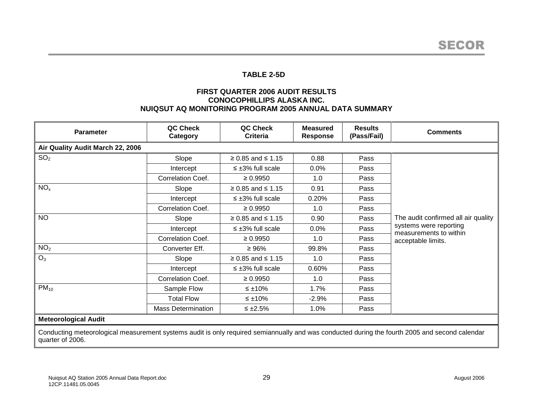## **TABLE 2-5D**

### **FIRST QUARTER 2006 AUDIT RESULTS CONOCOPHILLIPS ALASKA INC. NUIQSUT AQ MONITORING PROGRAM 2005 ANNUAL DATA SUMMARY**

| <b>Parameter</b>                                                                                                                                                   | QC Check<br>Category      | QC Check<br>Criteria      | <b>Measured</b><br><b>Response</b> | <b>Results</b><br>(Pass/Fail) | <b>Comments</b>                                  |
|--------------------------------------------------------------------------------------------------------------------------------------------------------------------|---------------------------|---------------------------|------------------------------------|-------------------------------|--------------------------------------------------|
| Air Quality Audit March 22, 2006                                                                                                                                   |                           |                           |                                    |                               |                                                  |
| SO <sub>2</sub>                                                                                                                                                    | Slope                     | $≥ 0.85$ and ≤ 1.15       | 0.88                               | Pass                          |                                                  |
|                                                                                                                                                                    | Intercept                 | $\leq \pm 3\%$ full scale | 0.0%                               | Pass                          |                                                  |
|                                                                                                                                                                    | Correlation Coef.         | $\geq 0.9950$             | 1.0                                | Pass                          |                                                  |
| NO <sub>x</sub>                                                                                                                                                    | Slope                     | $≥ 0.85$ and ≤ 1.15       | 0.91                               | Pass                          |                                                  |
|                                                                                                                                                                    | Intercept                 | $\leq \pm 3\%$ full scale | 0.20%                              | Pass                          |                                                  |
|                                                                                                                                                                    | Correlation Coef.         | $\geq 0.9950$             | 1.0                                | Pass                          |                                                  |
| <b>NO</b>                                                                                                                                                          | Slope                     | $≥ 0.85$ and ≤ 1.15       | 0.90                               | Pass                          | The audit confirmed all air quality              |
|                                                                                                                                                                    | Intercept                 | $\leq \pm 3\%$ full scale | 0.0%                               | Pass                          | systems were reporting<br>measurements to within |
|                                                                                                                                                                    | Correlation Coef.         | $\geq 0.9950$             | 1.0                                | Pass                          | acceptable limits.                               |
| NO <sub>2</sub>                                                                                                                                                    | Converter Eff.            | $\geq 96\%$               | 99.8%                              | Pass                          |                                                  |
| $O_3$                                                                                                                                                              | Slope                     | $≥ 0.85$ and ≤ 1.15       | 1.0                                | Pass                          |                                                  |
|                                                                                                                                                                    | Intercept                 | $\leq \pm 3\%$ full scale | 0.60%                              | Pass                          |                                                  |
|                                                                                                                                                                    | Correlation Coef.         | $\geq 0.9950$             | 1.0                                | Pass                          |                                                  |
| $PM_{10}$                                                                                                                                                          | Sample Flow               | ≤ ±10%                    | 1.7%                               | Pass                          |                                                  |
|                                                                                                                                                                    | <b>Total Flow</b>         | $\leq \pm 10\%$           | $-2.9%$                            | Pass                          |                                                  |
|                                                                                                                                                                    | <b>Mass Determination</b> | $\leq \pm 2.5\%$          | 1.0%                               | Pass                          |                                                  |
| <b>Meteorological Audit</b>                                                                                                                                        |                           |                           |                                    |                               |                                                  |
| Conducting meteorological measurement systems audit is only required semiannually and was conducted during the fourth 2005 and second calendar<br>quarter of 2006. |                           |                           |                                    |                               |                                                  |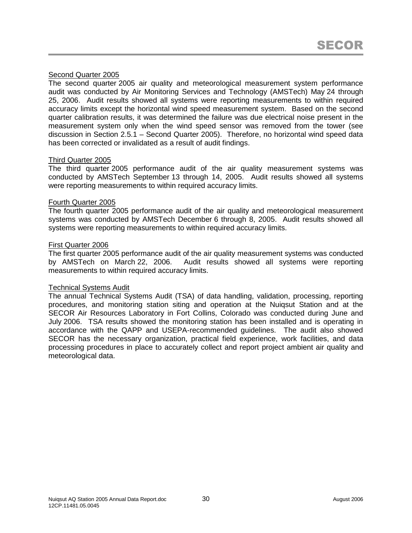# Second Quarter 2005

The second quarter 2005 air quality and meteorological measurement system performance audit was conducted by Air Monitoring Services and Technology (AMSTech) May 24 through 25, 2006. Audit results showed all systems were reporting measurements to within required accuracy limits except the horizontal wind speed measurement system. Based on the second quarter calibration results, it was determined the failure was due electrical noise present in the measurement system only when the wind speed sensor was removed from the tower (see discussion in Section 2.5.1 – Second Quarter 2005). Therefore, no horizontal wind speed data has been corrected or invalidated as a result of audit findings.

#### Third Quarter 2005

The third quarter 2005 performance audit of the air quality measurement systems was conducted by AMSTech September 13 through 14, 2005. Audit results showed all systems were reporting measurements to within required accuracy limits.

#### Fourth Quarter 2005

The fourth quarter 2005 performance audit of the air quality and meteorological measurement systems was conducted by AMSTech December 6 through 8, 2005. Audit results showed all systems were reporting measurements to within required accuracy limits.

#### First Quarter 2006

The first quarter 2005 performance audit of the air quality measurement systems was conducted by AMSTech on March 22, 2006. Audit results showed all systems were reporting measurements to within required accuracy limits.

#### Technical Systems Audit

The annual Technical Systems Audit (TSA) of data handling, validation, processing, reporting procedures, and monitoring station siting and operation at the Nuiqsut Station and at the SECOR Air Resources Laboratory in Fort Collins, Colorado was conducted during June and July 2006. TSA results showed the monitoring station has been installed and is operating in accordance with the QAPP and USEPA-recommended guidelines. The audit also showed SECOR has the necessary organization, practical field experience, work facilities, and data processing procedures in place to accurately collect and report project ambient air quality and meteorological data.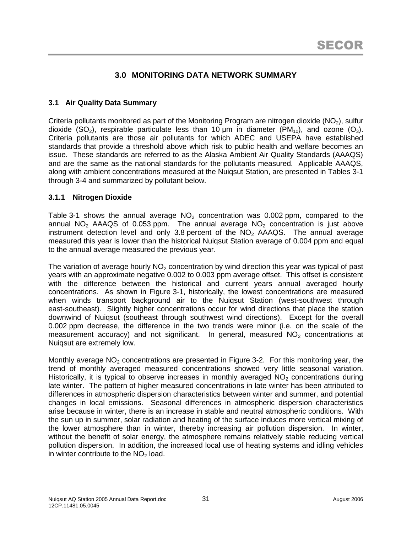# **3.0 MONITORING DATA NETWORK SUMMARY**

# **3.1 Air Quality Data Summary**

Criteria pollutants monitored as part of the Monitoring Program are nitrogen dioxide ( $NO<sub>2</sub>$ ), sulfur dioxide (SO<sub>2</sub>), respirable particulate less than 10 µm in diameter (PM<sub>10</sub>), and ozone (O<sub>3</sub>). Criteria pollutants are those air pollutants for which ADEC and USEPA have established standards that provide a threshold above which risk to public health and welfare becomes an issue. These standards are referred to as the Alaska Ambient Air Quality Standards (AAAQS) and are the same as the national standards for the pollutants measured. Applicable AAAQS, along with ambient concentrations measured at the Nuiqsut Station, are presented in Tables 3-1 through 3-4 and summarized by pollutant below.

## **3.1.1 Nitrogen Dioxide**

Table 3-1 shows the annual average  $NO<sub>2</sub>$  concentration was 0.002 ppm, compared to the annual  $NO<sub>2</sub>$  AAAQS of 0.053 ppm. The annual average  $NO<sub>2</sub>$  concentration is just above instrument detection level and only 3.8 percent of the  $NO<sub>2</sub>$  AAAQS. The annual average measured this year is lower than the historical Nuiqsut Station average of 0.004 ppm and equal to the annual average measured the previous year.

The variation of average hourly  $NO<sub>2</sub>$  concentration by wind direction this year was typical of past years with an approximate negative 0.002 to 0.003 ppm average offset. This offset is consistent with the difference between the historical and current years annual averaged hourly concentrations. As shown in Figure 3-1, historically, the lowest concentrations are measured when winds transport background air to the Nuiqsut Station (west-southwest through east-southeast). Slightly higher concentrations occur for wind directions that place the station downwind of Nuiqsut (southeast through southwest wind directions). Except for the overall 0.002 ppm decrease, the difference in the two trends were minor (i.e. on the scale of the measurement accuracy) and not significant. In general, measured  $NO<sub>2</sub>$  concentrations at Nuiqsut are extremely low.

Monthly average  $NO<sub>2</sub>$  concentrations are presented in Figure 3-2. For this monitoring year, the trend of monthly averaged measured concentrations showed very little seasonal variation. Historically, it is typical to observe increases in monthly averaged  $NO<sub>2</sub>$  concentrations during late winter. The pattern of higher measured concentrations in late winter has been attributed to differences in atmospheric dispersion characteristics between winter and summer, and potential changes in local emissions. Seasonal differences in atmospheric dispersion characteristics arise because in winter, there is an increase in stable and neutral atmospheric conditions. With the sun up in summer, solar radiation and heating of the surface induces more vertical mixing of the lower atmosphere than in winter, thereby increasing air pollution dispersion. In winter, without the benefit of solar energy, the atmosphere remains relatively stable reducing vertical pollution dispersion. In addition, the increased local use of heating systems and idling vehicles in winter contribute to the  $NO<sub>2</sub>$  load.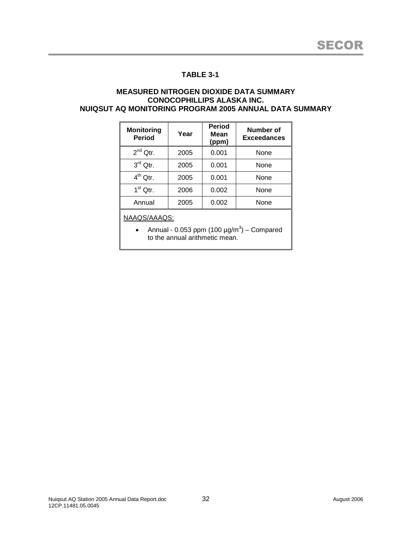#### **MEASURED NITROGEN DIOXIDE DATA SUMMARY CONOCOPHILLIPS ALASKA INC. NUIQSUT AQ MONITORING PROGRAM 2005 ANNUAL DATA SUMMARY**

| <b>Monitoring</b><br><b>Period</b> | Year | <b>Period</b><br>Mean<br>(ppm) | <b>Number of</b><br><b>Exceedances</b> |
|------------------------------------|------|--------------------------------|----------------------------------------|
| $2^{nd}$ Qtr.                      | 2005 | 0.001                          | None                                   |
| $3rd$ Qtr.                         | 2005 | 0.001                          | None                                   |
| $4^{th}$ Qtr.                      | 2005 | 0.001                          | None                                   |
| $1st$ Qtr.                         | 2006 | 0.002                          | None                                   |
| Annual                             | 2005 | 0.002                          | None                                   |

NAAQS/AAAQS:

• Annual - 0.053 ppm (100  $\mu$ g/m<sup>3</sup>) – Compared to the annual arithmetic mean.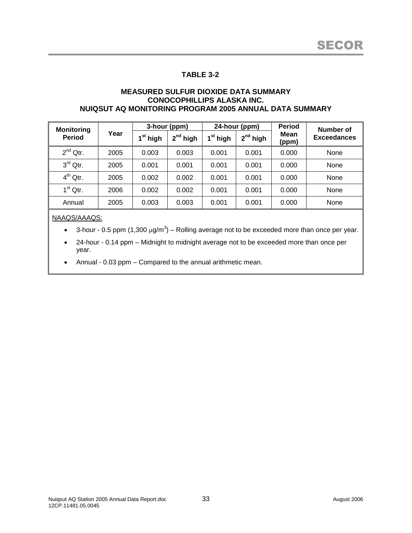#### **MEASURED SULFUR DIOXIDE DATA SUMMARY CONOCOPHILLIPS ALASKA INC. NUIQSUT AQ MONITORING PROGRAM 2005 ANNUAL DATA SUMMARY**

| <b>Monitoring</b> |      |                    | 3-hour (ppm) |                      | 24-hour (ppm) | <b>Period</b> | Number of          |
|-------------------|------|--------------------|--------------|----------------------|---------------|---------------|--------------------|
| <b>Period</b>     | Year | <sup>st</sup> high | $2nd$ high   | 1 <sup>st</sup> high | $2^{nd}$ high | Mean<br>(ppm) | <b>Exceedances</b> |
| $2^{nd}$ Qtr.     | 2005 | 0.003              | 0.003        | 0.001                | 0.001         | 0.000         | None               |
| $3rd$ Qtr.        | 2005 | 0.001              | 0.001        | 0.001                | 0.001         | 0.000         | None               |
| $4^{th}$ Qtr.     | 2005 | 0.002              | 0.002        | 0.001                | 0.001         | 0.000         | None               |
| $1st$ Qtr.        | 2006 | 0.002              | 0.002        | 0.001                | 0.001         | 0.000         | None               |
| Annual            | 2005 | 0.003              | 0.003        | 0.001                | 0.001         | 0.000         | None               |

#### NAAQS/AAAQS:

• 3-hour - 0.5 ppm (1,300  $\mu$ g/m<sup>3</sup>) – Rolling average not to be exceeded more than once per year.

• 24-hour - 0.14 ppm – Midnight to midnight average not to be exceeded more than once per year.

Annual - 0.03 ppm – Compared to the annual arithmetic mean.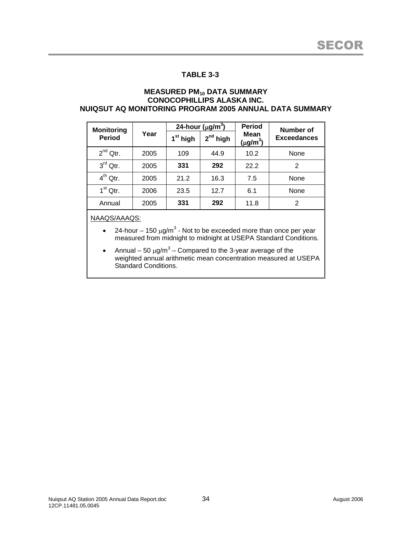#### **MEASURED PM<sup>10</sup> DATA SUMMARY CONOCOPHILLIPS ALASKA INC. NUIQSUT AQ MONITORING PROGRAM 2005 ANNUAL DATA SUMMARY**

| <b>Monitoring</b> |      | 24-hour ( $\mu$ g/m <sup>3</sup> ) |            | <b>Period</b>                     | Number of          |  |
|-------------------|------|------------------------------------|------------|-----------------------------------|--------------------|--|
| <b>Period</b>     | Year | 1 <sup>st</sup> high               | $2nd$ high | Mean<br>$(\mu$ g/m <sup>3</sup> ) | <b>Exceedances</b> |  |
| $2^{nd}$ Qtr.     | 2005 | 109                                | 44.9       | 10.2                              | None               |  |
| $3rd$ Qtr.        | 2005 | 331                                | 292        | 22.2                              | 2                  |  |
| $4^{th}$ Qtr.     | 2005 | 21.2                               | 16.3       | 7.5                               | None               |  |
| $1st$ Qtr.        | 2006 | 23.5                               | 12.7       | 6.1                               | None               |  |
| Annual            | 2005 | 331                                | 292        | 11.8                              | 2                  |  |

NAAQS/AAAQS:

- 24-hour 150  $\mu$ g/m<sup>3</sup> Not to be exceeded more than once per year measured from midnight to midnight at USEPA Standard Conditions.
- Annual 50  $\mu$ g/m<sup>3</sup> Compared to the 3-year average of the weighted annual arithmetic mean concentration measured at USEPA Standard Conditions.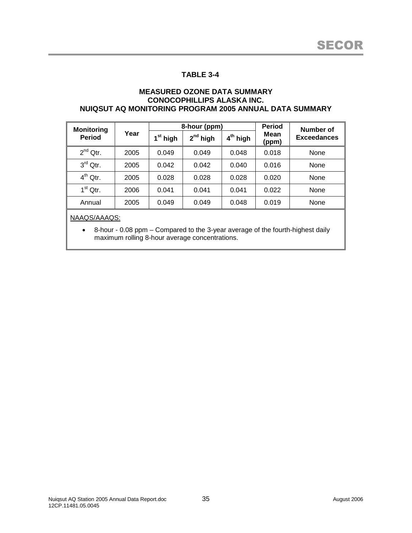#### **MEASURED OZONE DATA SUMMARY CONOCOPHILLIPS ALASKA INC. NUIQSUT AQ MONITORING PROGRAM 2005 ANNUAL DATA SUMMARY**

| <b>Monitoring</b> |      |                      | 8-hour (ppm) |            | <b>Period</b> | Number of          |
|-------------------|------|----------------------|--------------|------------|---------------|--------------------|
| <b>Period</b>     | Year | 1 <sup>st</sup> high | $2nd$ high   | $4th$ high | Mean<br>(ppm) | <b>Exceedances</b> |
| $2^{nd}$ Qtr.     | 2005 | 0.049                | 0.049        | 0.048      | 0.018         | None               |
| $3rd$ Qtr.        | 2005 | 0.042                | 0.042        | 0.040      | 0.016         | None               |
| $4^{th}$ Qtr.     | 2005 | 0.028                | 0.028        | 0.028      | 0.020         | None               |
| $1st$ Qtr.        | 2006 | 0.041                | 0.041        | 0.041      | 0.022         | None               |
| Annual            | 2005 | 0.049                | 0.049        | 0.048      | 0.019         | None               |

NAAQS/AAAQS:

 8-hour - 0.08 ppm – Compared to the 3-year average of the fourth-highest daily maximum rolling 8-hour average concentrations.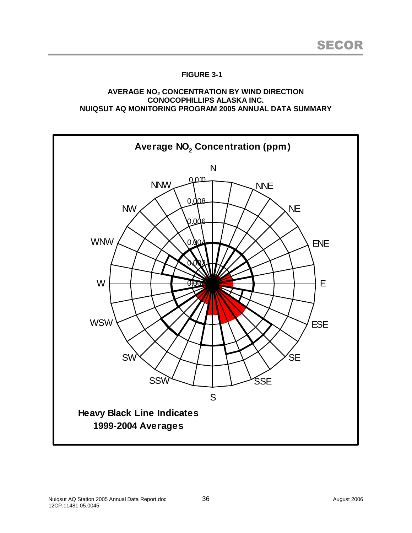### **AVERAGE NO<sup>2</sup> CONCENTRATION BY WIND DIRECTION CONOCOPHILLIPS ALASKA INC. NUIQSUT AQ MONITORING PROGRAM 2005 ANNUAL DATA SUMMARY**

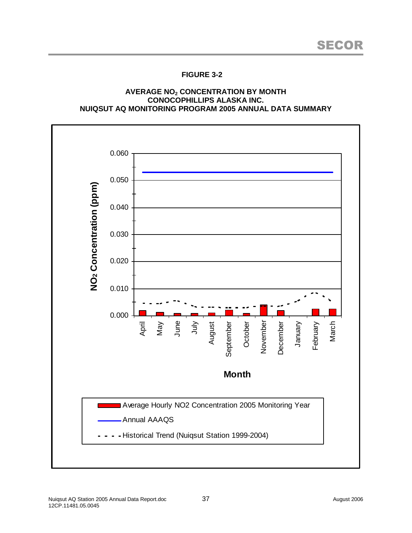### **AVERAGE NO<sup>2</sup> CONCENTRATION BY MONTH CONOCOPHILLIPS ALASKA INC. NUIQSUT AQ MONITORING PROGRAM 2005 ANNUAL DATA SUMMARY**

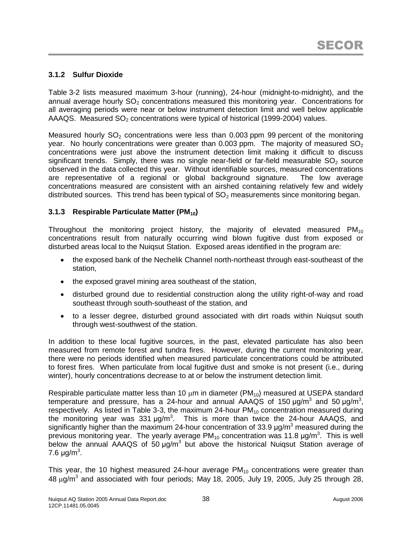## **3.1.2 Sulfur Dioxide**

Table 3-2 lists measured maximum 3-hour (running), 24-hour (midnight-to-midnight), and the annual average hourly  $SO<sub>2</sub>$  concentrations measured this monitoring year. Concentrations for all averaging periods were near or below instrument detection limit and well below applicable AAAQS. Measured  $SO<sub>2</sub>$  concentrations were typical of historical (1999-2004) values.

Measured hourly  $SO<sub>2</sub>$  concentrations were less than 0.003 ppm 99 percent of the monitoring year. No hourly concentrations were greater than 0.003 ppm. The majority of measured  $SO<sub>2</sub>$ concentrations were just above the instrument detection limit making it difficult to discuss significant trends. Simply, there was no single near-field or far-field measurable  $SO<sub>2</sub>$  source observed in the data collected this year. Without identifiable sources, measured concentrations are representative of a regional or global background signature. The low average concentrations measured are consistent with an airshed containing relatively few and widely distributed sources. This trend has been typical of  $SO<sub>2</sub>$  measurements since monitoring began.

## **3.1.3 Respirable Particulate Matter (PM10)**

Throughout the monitoring project history, the majority of elevated measured  $PM_{10}$ concentrations result from naturally occurring wind blown fugitive dust from exposed or disturbed areas local to the Nuiqsut Station. Exposed areas identified in the program are:

- the exposed bank of the Nechelik Channel north-northeast through east-southeast of the station,
- the exposed gravel mining area southeast of the station,
- disturbed ground due to residential construction along the utility right-of-way and road southeast through south-southeast of the station, and
- to a lesser degree, disturbed ground associated with dirt roads within Nuiqsut south through west-southwest of the station.

In addition to these local fugitive sources, in the past, elevated particulate has also been measured from remote forest and tundra fires. However, during the current monitoring year, there were no periods identified when measured particulate concentrations could be attributed to forest fires. When particulate from local fugitive dust and smoke is not present (i.e., during winter), hourly concentrations decrease to at or below the instrument detection limit.

Respirable particulate matter less than 10  $\mu$ m in diameter (PM<sub>10</sub>) measured at USEPA standard temperature and pressure, has a 24-hour and annual AAAQS of 150  $\mu$ g/m<sup>3</sup> and 50  $\mu$ g/m<sup>3</sup>, respectively. As listed in Table 3-3, the maximum 24-hour  $PM_{10}$  concentration measured during the monitoring year was 331  $\mu$ g/m<sup>3</sup>. This is more than twice the 24-hour AAAQS, and significantly higher than the maximum 24-hour concentration of 33.9  $\mu$ g/m<sup>3</sup> measured during the previous monitoring year. The yearly average PM<sub>10</sub> concentration was 11.8  $\mu$ g/m<sup>3</sup>. This is well below the annual  $\overline{A}A A Q S$  of 50  $\mu g/m^3$  but above the historical Nuiqsut Station average of 7.6  $\mu$ g/m<sup>3</sup>.

This year, the 10 highest measured 24-hour average  $PM_{10}$  concentrations were greater than 48  $\mu$ g/m<sup>3</sup> and associated with four periods; May 18, 2005, July 19, 2005, July 25 through 28,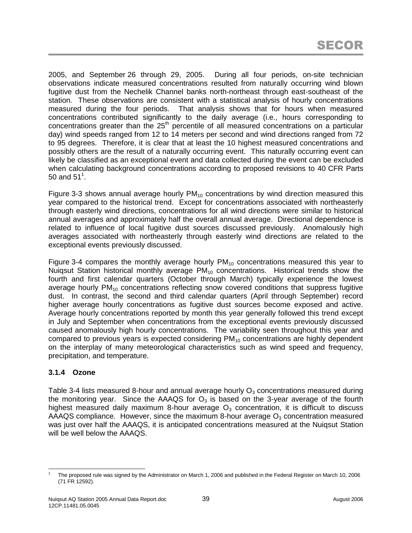2005, and September 26 through 29, 2005. During all four periods, on-site technician observations indicate measured concentrations resulted from naturally occurring wind blown fugitive dust from the Nechelik Channel banks north-northeast through east-southeast of the station. These observations are consistent with a statistical analysis of hourly concentrations measured during the four periods. That analysis shows that for hours when measured concentrations contributed significantly to the daily average (i.e., hours corresponding to concentrations greater than the  $25<sup>th</sup>$  percentile of all measured concentrations on a particular day) wind speeds ranged from 12 to 14 meters per second and wind directions ranged from 72 to 95 degrees. Therefore, it is clear that at least the 10 highest measured concentrations and possibly others are the result of a naturally occurring event. This naturally occurring event can likely be classified as an exceptional event and data collected during the event can be excluded when calculating background concentrations according to proposed revisions to 40 CFR Parts 50 and 51 $^{\rm 1}.$ 

Figure 3-3 shows annual average hourly  $PM_{10}$  concentrations by wind direction measured this year compared to the historical trend. Except for concentrations associated with northeasterly through easterly wind directions, concentrations for all wind directions were similar to historical annual averages and approximately half the overall annual average. Directional dependence is related to influence of local fugitive dust sources discussed previously. Anomalously high averages associated with northeasterly through easterly wind directions are related to the exceptional events previously discussed.

Figure 3-4 compares the monthly average hourly  $PM_{10}$  concentrations measured this year to Nuigsut Station historical monthly average  $PM_{10}$  concentrations. Historical trends show the fourth and first calendar quarters (October through March) typically experience the lowest average hourly  $PM_{10}$  concentrations reflecting snow covered conditions that suppress fugitive dust. In contrast, the second and third calendar quarters (April through September) record higher average hourly concentrations as fugitive dust sources become exposed and active. Average hourly concentrations reported by month this year generally followed this trend except in July and September when concentrations from the exceptional events previously discussed caused anomalously high hourly concentrations. The variability seen throughout this year and compared to previous years is expected considering  $PM_{10}$  concentrations are highly dependent on the interplay of many meteorological characteristics such as wind speed and frequency, precipitation, and temperature.

## **3.1.4 Ozone**

Table 3-4 lists measured 8-hour and annual average hourly  $O<sub>3</sub>$  concentrations measured during the monitoring year. Since the AAAQS for  $O<sub>3</sub>$  is based on the 3-year average of the fourth highest measured daily maximum 8-hour average  $O<sub>3</sub>$  concentration, it is difficult to discuss AAAQS compliance. However, since the maximum 8-hour average  $O_3$  concentration measured was just over half the AAAQS, it is anticipated concentrations measured at the Nuiqsut Station will be well below the AAAQS.

<sup>1</sup> The proposed rule was signed by the Administrator on March 1, 2006 and published in the Federal Register on March 10, 2006 (71 FR 12592).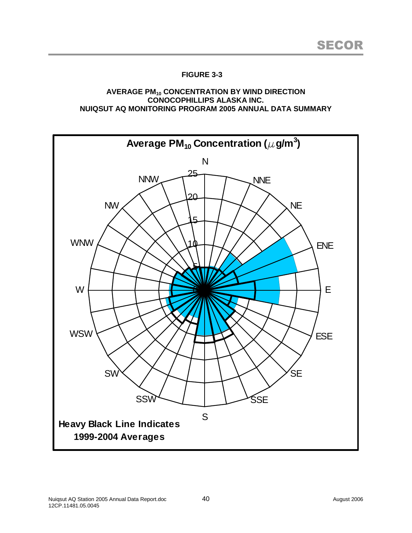### **AVERAGE PM<sup>10</sup> CONCENTRATION BY WIND DIRECTION CONOCOPHILLIPS ALASKA INC. NUIQSUT AQ MONITORING PROGRAM 2005 ANNUAL DATA SUMMARY**

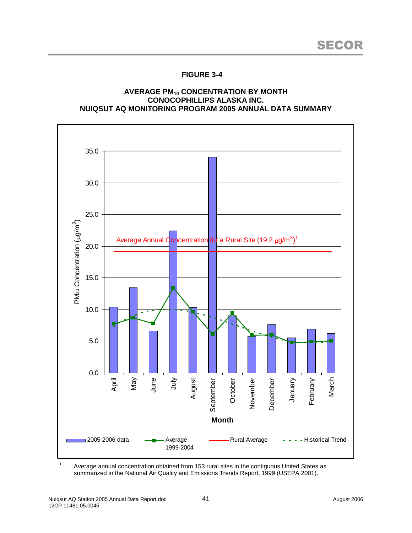### **AVERAGE PM<sup>10</sup> CONCENTRATION BY MONTH CONOCOPHILLIPS ALASKA INC. NUIQSUT AQ MONITORING PROGRAM 2005 ANNUAL DATA SUMMARY**



<sup>1</sup> Average annual concentration obtained from 153 rural sites in the contiguous United States as summarized in the National Air Quality and Emissions Trends Report, 1999 (USEPA 2001).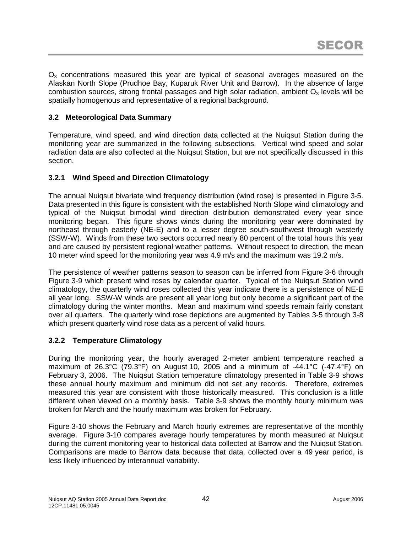$O<sub>3</sub>$  concentrations measured this year are typical of seasonal averages measured on the Alaskan North Slope (Prudhoe Bay, Kuparuk River Unit and Barrow). In the absence of large combustion sources, strong frontal passages and high solar radiation, ambient  $O<sub>3</sub>$  levels will be spatially homogenous and representative of a regional background.

## **3.2 Meteorological Data Summary**

Temperature, wind speed, and wind direction data collected at the Nuiqsut Station during the monitoring year are summarized in the following subsections. Vertical wind speed and solar radiation data are also collected at the Nuiqsut Station, but are not specifically discussed in this section.

## **3.2.1 Wind Speed and Direction Climatology**

The annual Nuiqsut bivariate wind frequency distribution (wind rose) is presented in Figure 3-5. Data presented in this figure is consistent with the established North Slope wind climatology and typical of the Nuiqsut bimodal wind direction distribution demonstrated every year since monitoring began. This figure shows winds during the monitoring year were dominated by northeast through easterly (NE-E) and to a lesser degree south-southwest through westerly (SSW-W). Winds from these two sectors occurred nearly 80 percent of the total hours this year and are caused by persistent regional weather patterns. Without respect to direction, the mean 10 meter wind speed for the monitoring year was 4.9 m/s and the maximum was 19.2 m/s.

The persistence of weather patterns season to season can be inferred from Figure 3-6 through Figure 3-9 which present wind roses by calendar quarter. Typical of the Nuiqsut Station wind climatology, the quarterly wind roses collected this year indicate there is a persistence of NE-E all year long. SSW-W winds are present all year long but only become a significant part of the climatology during the winter months. Mean and maximum wind speeds remain fairly constant over all quarters. The quarterly wind rose depictions are augmented by Tables 3-5 through 3-8 which present quarterly wind rose data as a percent of valid hours.

## **3.2.2 Temperature Climatology**

During the monitoring year, the hourly averaged 2-meter ambient temperature reached a maximum of 26.3°C (79.3°F) on August 10, 2005 and a minimum of -44.1°C (-47.4°F) on February 3, 2006. The Nuiqsut Station temperature climatology presented in Table 3-9 shows these annual hourly maximum and minimum did not set any records. Therefore, extremes measured this year are consistent with those historically measured. This conclusion is a little different when viewed on a monthly basis. Table 3-9 shows the monthly hourly minimum was broken for March and the hourly maximum was broken for February.

Figure 3-10 shows the February and March hourly extremes are representative of the monthly average. Figure 3-10 compares average hourly temperatures by month measured at Nuiqsut during the current monitoring year to historical data collected at Barrow and the Nuiqsut Station. Comparisons are made to Barrow data because that data, collected over a 49 year period, is less likely influenced by interannual variability.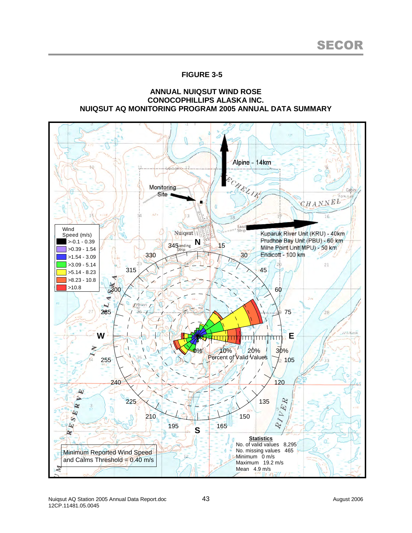#### **ANNUAL NUIQSUT WIND ROSE CONOCOPHILLIPS ALASKA INC. NUIQSUT AQ MONITORING PROGRAM 2005 ANNUAL DATA SUMMARY**

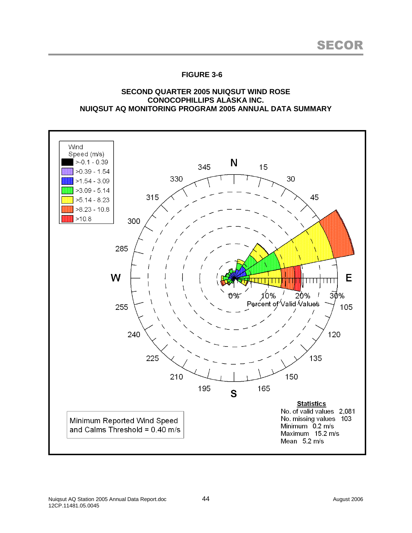### **SECOND QUARTER 2005 NUIQSUT WIND ROSE CONOCOPHILLIPS ALASKA INC. NUIQSUT AQ MONITORING PROGRAM 2005 ANNUAL DATA SUMMARY**

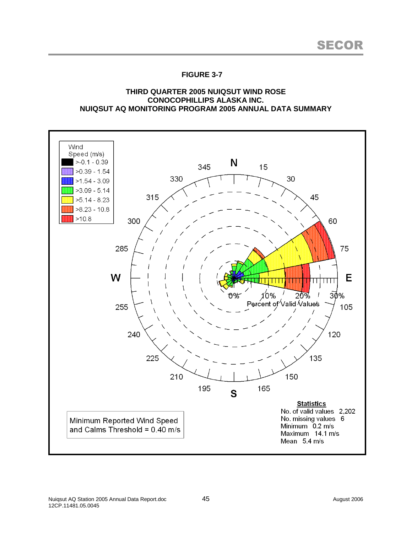### **THIRD QUARTER 2005 NUIQSUT WIND ROSE CONOCOPHILLIPS ALASKA INC. NUIQSUT AQ MONITORING PROGRAM 2005 ANNUAL DATA SUMMARY**

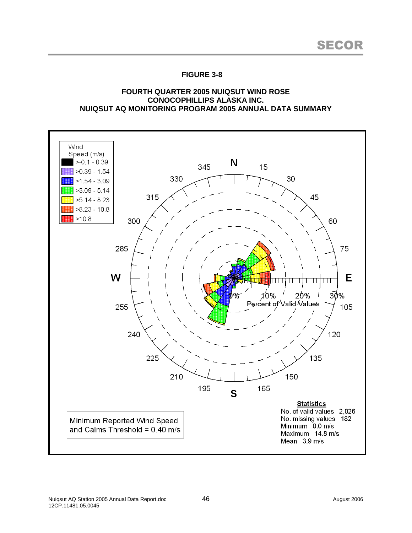### **FOURTH QUARTER 2005 NUIQSUT WIND ROSE CONOCOPHILLIPS ALASKA INC. NUIQSUT AQ MONITORING PROGRAM 2005 ANNUAL DATA SUMMARY**

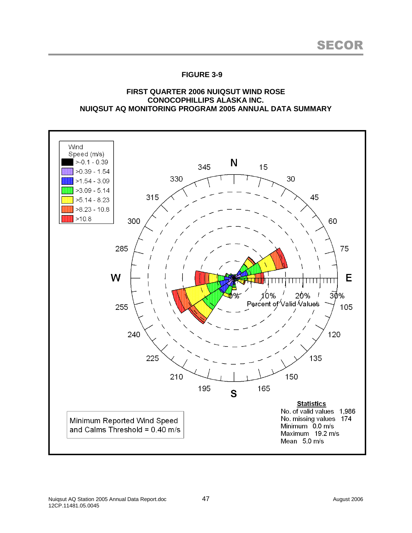### **FIRST QUARTER 2006 NUIQSUT WIND ROSE CONOCOPHILLIPS ALASKA INC. NUIQSUT AQ MONITORING PROGRAM 2005 ANNUAL DATA SUMMARY**

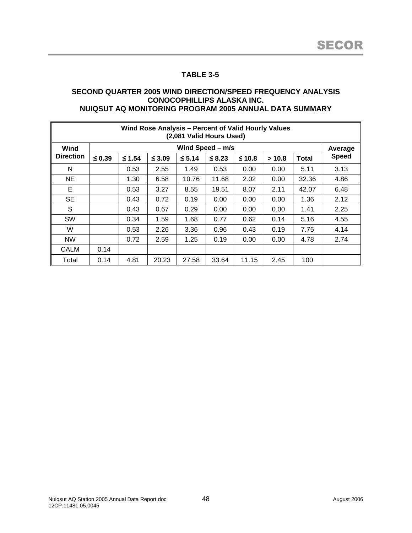#### **SECOND QUARTER 2005 WIND DIRECTION/SPEED FREQUENCY ANALYSIS CONOCOPHILLIPS ALASKA INC. NUIQSUT AQ MONITORING PROGRAM 2005 ANNUAL DATA SUMMARY**

| Wind Rose Analysis - Percent of Valid Hourly Values<br>(2,081 Valid Hours Used) |                  |          |             |          |             |          |       |       |              |  |
|---------------------------------------------------------------------------------|------------------|----------|-------------|----------|-------------|----------|-------|-------|--------------|--|
| Wind                                                                            | Wind Speed - m/s |          |             |          |             |          |       |       |              |  |
| <b>Direction</b>                                                                | $\leq 0.39$      | $≤ 1.54$ | $\leq$ 3.09 | $≤ 5.14$ | $\leq 8.23$ | $≤ 10.8$ | >10.8 | Total | <b>Speed</b> |  |
| N                                                                               |                  | 0.53     | 2.55        | 1.49     | 0.53        | 0.00     | 0.00  | 5.11  | 3.13         |  |
| <b>NE</b>                                                                       |                  | 1.30     | 6.58        | 10.76    | 11.68       | 2.02     | 0.00  | 32.36 | 4.86         |  |
| Е                                                                               |                  | 0.53     | 3.27        | 8.55     | 19.51       | 8.07     | 2.11  | 42.07 | 6.48         |  |
| <b>SE</b>                                                                       |                  | 0.43     | 0.72        | 0.19     | 0.00        | 0.00     | 0.00  | 1.36  | 2.12         |  |
| S                                                                               |                  | 0.43     | 0.67        | 0.29     | 0.00        | 0.00     | 0.00  | 1.41  | 2.25         |  |
| <b>SW</b>                                                                       |                  | 0.34     | 1.59        | 1.68     | 0.77        | 0.62     | 0.14  | 5.16  | 4.55         |  |
| W                                                                               |                  | 0.53     | 2.26        | 3.36     | 0.96        | 0.43     | 0.19  | 7.75  | 4.14         |  |
| <b>NW</b>                                                                       |                  | 0.72     | 2.59        | 1.25     | 0.19        | 0.00     | 0.00  | 4.78  | 2.74         |  |
| <b>CALM</b>                                                                     | 0.14             |          |             |          |             |          |       |       |              |  |
| Total                                                                           | 0.14             | 4.81     | 20.23       | 27.58    | 33.64       | 11.15    | 2.45  | 100   |              |  |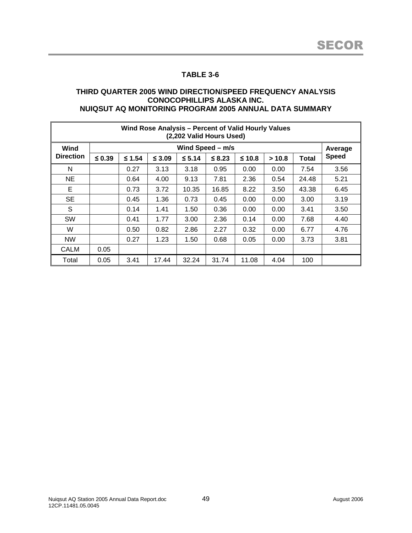#### **THIRD QUARTER 2005 WIND DIRECTION/SPEED FREQUENCY ANALYSIS CONOCOPHILLIPS ALASKA INC. NUIQSUT AQ MONITORING PROGRAM 2005 ANNUAL DATA SUMMARY**

| Wind Rose Analysis - Percent of Valid Hourly Values<br>(2,202 Valid Hours Used) |                  |          |             |          |             |          |        |              |              |  |
|---------------------------------------------------------------------------------|------------------|----------|-------------|----------|-------------|----------|--------|--------------|--------------|--|
| Wind                                                                            | Wind Speed - m/s |          |             |          |             |          |        |              |              |  |
| <b>Direction</b>                                                                | $\leq 0.39$      | $≤ 1.54$ | $\leq 3.09$ | $≤ 5.14$ | $\leq 8.23$ | $≤ 10.8$ | > 10.8 | <b>Total</b> | <b>Speed</b> |  |
| N                                                                               |                  | 0.27     | 3.13        | 3.18     | 0.95        | 0.00     | 0.00   | 7.54         | 3.56         |  |
| <b>NE</b>                                                                       |                  | 0.64     | 4.00        | 9.13     | 7.81        | 2.36     | 0.54   | 24.48        | 5.21         |  |
| E                                                                               |                  | 0.73     | 3.72        | 10.35    | 16.85       | 8.22     | 3.50   | 43.38        | 6.45         |  |
| <b>SE</b>                                                                       |                  | 0.45     | 1.36        | 0.73     | 0.45        | 0.00     | 0.00   | 3.00         | 3.19         |  |
| S                                                                               |                  | 0.14     | 1.41        | 1.50     | 0.36        | 0.00     | 0.00   | 3.41         | 3.50         |  |
| <b>SW</b>                                                                       |                  | 0.41     | 1.77        | 3.00     | 2.36        | 0.14     | 0.00   | 7.68         | 4.40         |  |
| W                                                                               |                  | 0.50     | 0.82        | 2.86     | 2.27        | 0.32     | 0.00   | 6.77         | 4.76         |  |
| <b>NW</b>                                                                       |                  | 0.27     | 1.23        | 1.50     | 0.68        | 0.05     | 0.00   | 3.73         | 3.81         |  |
| CALM                                                                            | 0.05             |          |             |          |             |          |        |              |              |  |
| Total                                                                           | 0.05             | 3.41     | 17.44       | 32.24    | 31.74       | 11.08    | 4.04   | 100          |              |  |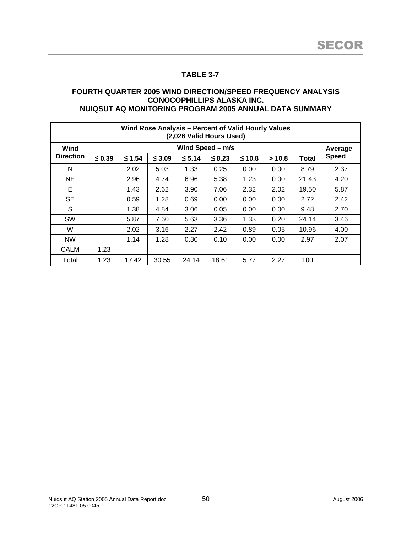#### **FOURTH QUARTER 2005 WIND DIRECTION/SPEED FREQUENCY ANALYSIS CONOCOPHILLIPS ALASKA INC. NUIQSUT AQ MONITORING PROGRAM 2005 ANNUAL DATA SUMMARY**

| Wind Rose Analysis - Percent of Valid Hourly Values<br>(2,026 Valid Hours Used) |                  |          |          |          |             |          |        |              |              |  |
|---------------------------------------------------------------------------------|------------------|----------|----------|----------|-------------|----------|--------|--------------|--------------|--|
| Wind                                                                            | Wind Speed - m/s |          |          |          |             |          |        |              |              |  |
| <b>Direction</b>                                                                | $\leq 0.39$      | $≤ 1.54$ | $≤ 3.09$ | $≤ 5.14$ | $\leq$ 8.23 | $≤ 10.8$ | > 10.8 | <b>Total</b> | <b>Speed</b> |  |
| N                                                                               |                  | 2.02     | 5.03     | 1.33     | 0.25        | 0.00     | 0.00   | 8.79         | 2.37         |  |
| <b>NE</b>                                                                       |                  | 2.96     | 4.74     | 6.96     | 5.38        | 1.23     | 0.00   | 21.43        | 4.20         |  |
| Е                                                                               |                  | 1.43     | 2.62     | 3.90     | 7.06        | 2.32     | 2.02   | 19.50        | 5.87         |  |
| <b>SE</b>                                                                       |                  | 0.59     | 1.28     | 0.69     | 0.00        | 0.00     | 0.00   | 2.72         | 2.42         |  |
| S                                                                               |                  | 1.38     | 4.84     | 3.06     | 0.05        | 0.00     | 0.00   | 9.48         | 2.70         |  |
| <b>SW</b>                                                                       |                  | 5.87     | 7.60     | 5.63     | 3.36        | 1.33     | 0.20   | 24.14        | 3.46         |  |
| W                                                                               |                  | 2.02     | 3.16     | 2.27     | 2.42        | 0.89     | 0.05   | 10.96        | 4.00         |  |
| <b>NW</b>                                                                       |                  | 1.14     | 1.28     | 0.30     | 0.10        | 0.00     | 0.00   | 2.97         | 2.07         |  |
| <b>CALM</b>                                                                     | 1.23             |          |          |          |             |          |        |              |              |  |
| Total                                                                           | 1.23             | 17.42    | 30.55    | 24.14    | 18.61       | 5.77     | 2.27   | 100          |              |  |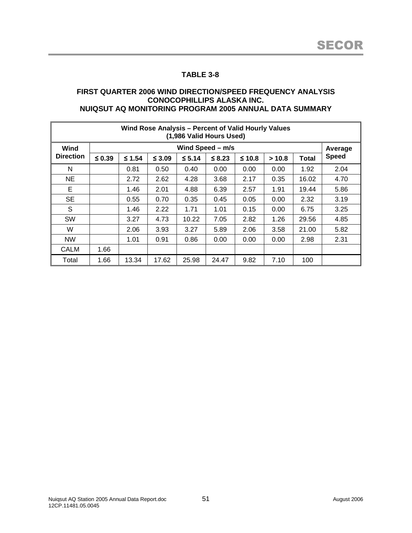#### **FIRST QUARTER 2006 WIND DIRECTION/SPEED FREQUENCY ANALYSIS CONOCOPHILLIPS ALASKA INC. NUIQSUT AQ MONITORING PROGRAM 2005 ANNUAL DATA SUMMARY**

| Wind Rose Analysis - Percent of Valid Hourly Values<br>(1,986 Valid Hours Used) |                  |          |             |          |             |          |        |              |              |  |
|---------------------------------------------------------------------------------|------------------|----------|-------------|----------|-------------|----------|--------|--------------|--------------|--|
| Wind                                                                            | Wind Speed - m/s |          |             |          |             |          |        |              |              |  |
| <b>Direction</b>                                                                | $\leq 0.39$      | $≤ 1.54$ | $\leq 3.09$ | $≤ 5.14$ | $\leq 8.23$ | $≤ 10.8$ | > 10.8 | <b>Total</b> | <b>Speed</b> |  |
| N                                                                               |                  | 0.81     | 0.50        | 0.40     | 0.00        | 0.00     | 0.00   | 1.92         | 2.04         |  |
| <b>NE</b>                                                                       |                  | 2.72     | 2.62        | 4.28     | 3.68        | 2.17     | 0.35   | 16.02        | 4.70         |  |
| E                                                                               |                  | 1.46     | 2.01        | 4.88     | 6.39        | 2.57     | 1.91   | 19.44        | 5.86         |  |
| <b>SE</b>                                                                       |                  | 0.55     | 0.70        | 0.35     | 0.45        | 0.05     | 0.00   | 2.32         | 3.19         |  |
| S                                                                               |                  | 1.46     | 2.22        | 1.71     | 1.01        | 0.15     | 0.00   | 6.75         | 3.25         |  |
| <b>SW</b>                                                                       |                  | 3.27     | 4.73        | 10.22    | 7.05        | 2.82     | 1.26   | 29.56        | 4.85         |  |
| W                                                                               |                  | 2.06     | 3.93        | 3.27     | 5.89        | 2.06     | 3.58   | 21.00        | 5.82         |  |
| <b>NW</b>                                                                       |                  | 1.01     | 0.91        | 0.86     | 0.00        | 0.00     | 0.00   | 2.98         | 2.31         |  |
| CALM                                                                            | 1.66             |          |             |          |             |          |        |              |              |  |
| Total                                                                           | 1.66             | 13.34    | 17.62       | 25.98    | 24.47       | 9.82     | 7.10   | 100          |              |  |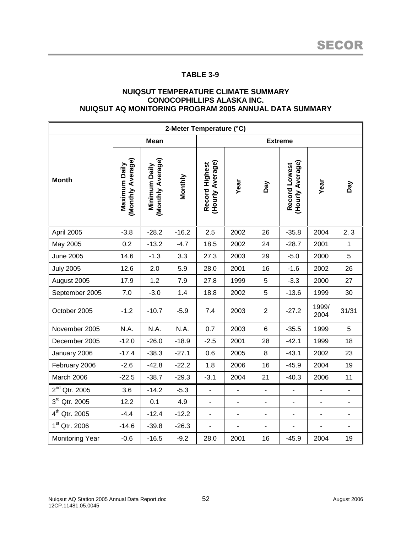#### **NUIQSUT TEMPERATURE CLIMATE SUMMARY CONOCOPHILLIPS ALASKA INC. NUIQSUT AQ MONITORING PROGRAM 2005 ANNUAL DATA SUMMARY**

| 2-Meter Temperature (°C)  |                                    |                                    |         |                                    |                              |                          |                                   |                |                |  |  |
|---------------------------|------------------------------------|------------------------------------|---------|------------------------------------|------------------------------|--------------------------|-----------------------------------|----------------|----------------|--|--|
|                           |                                    | <b>Mean</b>                        |         | <b>Extreme</b>                     |                              |                          |                                   |                |                |  |  |
| <b>Month</b>              | (Monthly Average)<br>Maximum Daily | (Monthly Average)<br>Minimum Daily | Monthly | (Hourly Average)<br>Record Highest | Year                         | Day                      | (Hourly Average)<br>Record Lowest | Year           | Day            |  |  |
| April 2005                | $-3.8$                             | $-28.2$                            | $-16.2$ | 2.5                                | 2002                         | 26                       | $-35.8$                           | 2004           | 2, 3           |  |  |
| May 2005                  | 0.2                                | $-13.2$                            | $-4.7$  | 18.5                               | 2002                         | 24                       | $-28.7$                           | 2001           | $\mathbf 1$    |  |  |
| June 2005                 | 14.6                               | $-1.3$                             | 3.3     | 27.3                               | 2003                         | 29                       | $-5.0$                            | 2000           | 5              |  |  |
| <b>July 2005</b>          | 12.6                               | 2.0                                | 5.9     | 28.0                               | 2001                         | 16                       | $-1.6$                            | 2002           | 26             |  |  |
| August 2005               | 17.9                               | 1.2                                | 7.9     | 27.8                               | 1999                         | 5                        | $-3.3$                            | 2000           | 27             |  |  |
| September 2005            | 7.0                                | $-3.0$                             | 1.4     | 18.8                               | 2002                         | 5                        | $-13.6$                           | 1999           | 30             |  |  |
| October 2005              | $-1.2$                             | $-10.7$                            | $-5.9$  | 7.4                                | 2003                         | $\overline{2}$           | $-27.2$                           | 1999/<br>2004  | 31/31          |  |  |
| November 2005             | N.A.                               | N.A.                               | N.A.    | 0.7                                | 2003                         | $\,6\,$                  | $-35.5$                           | 1999           | 5              |  |  |
| December 2005             | $-12.0$                            | $-26.0$                            | $-18.9$ | $-2.5$                             | 2001                         | 28                       | $-42.1$                           | 1999           | 18             |  |  |
| January 2006              | $-17.4$                            | $-38.3$                            | $-27.1$ | 0.6                                | 2005                         | 8                        | $-43.1$                           | 2002           | 23             |  |  |
| February 2006             | $-2.6$                             | $-42.8$                            | $-22.2$ | 1.8                                | 2006                         | 16                       | $-45.9$                           | 2004           | 19             |  |  |
| March 2006                | $-22.5$                            | $-38.7$                            | $-29.3$ | $-3.1$                             | 2004                         | 21                       | $-40.3$                           | 2006           | 11             |  |  |
| $2nd$ Qtr. 2005           | 3.6                                | $-14.2$                            | $-5.3$  |                                    |                              |                          | $\blacksquare$                    |                | $\blacksquare$ |  |  |
| $3rd$ Qtr. 2005           | 12.2                               | 0.1                                | 4.9     |                                    | $\qquad \qquad \blacksquare$ | $\overline{\phantom{0}}$ | $\qquad \qquad \blacksquare$      |                | $\blacksquare$ |  |  |
| 4 <sup>th</sup> Qtr. 2005 | $-4.4$                             | $-12.4$                            | $-12.2$ | $\blacksquare$                     | $\qquad \qquad \blacksquare$ | $\overline{\phantom{0}}$ | $\blacksquare$                    | $\blacksquare$ | $\blacksquare$ |  |  |
| 1 <sup>st</sup> Qtr. 2006 | $-14.6$                            | $-39.8$                            | $-26.3$ | $\blacksquare$                     | $\overline{\phantom{0}}$     | $\overline{\phantom{a}}$ | $\blacksquare$                    | $\blacksquare$ | $\blacksquare$ |  |  |
| <b>Monitoring Year</b>    | $-0.6$                             | $-16.5$                            | $-9.2$  | 28.0                               | 2001                         | 16                       | $-45.9$                           | 2004           | 19             |  |  |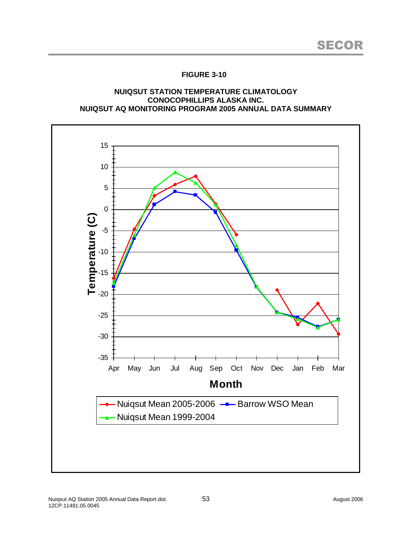### **NUIQSUT STATION TEMPERATURE CLIMATOLOGY CONOCOPHILLIPS ALASKA INC. NUIQSUT AQ MONITORING PROGRAM 2005 ANNUAL DATA SUMMARY**

![](_page_64_Figure_3.jpeg)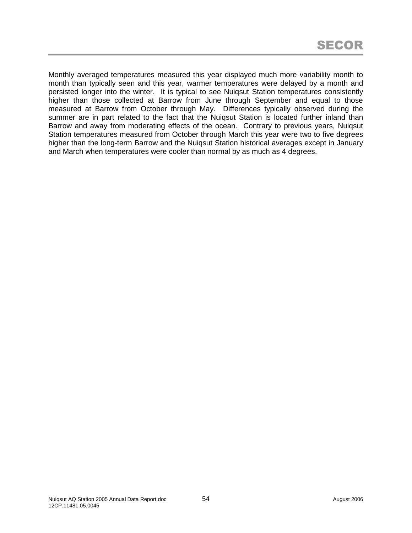Monthly averaged temperatures measured this year displayed much more variability month to month than typically seen and this year, warmer temperatures were delayed by a month and persisted longer into the winter. It is typical to see Nuiqsut Station temperatures consistently higher than those collected at Barrow from June through September and equal to those measured at Barrow from October through May. Differences typically observed during the summer are in part related to the fact that the Nuiqsut Station is located further inland than Barrow and away from moderating effects of the ocean. Contrary to previous years, Nuiqsut Station temperatures measured from October through March this year were two to five degrees higher than the long-term Barrow and the Nuiqsut Station historical averages except in January and March when temperatures were cooler than normal by as much as 4 degrees.